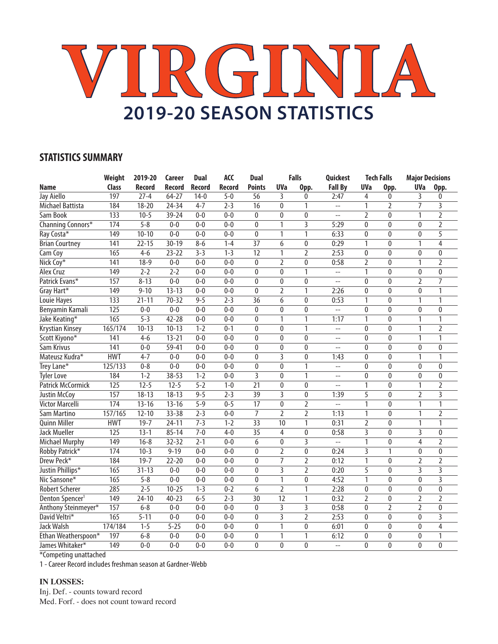# **VIRGINIA 2019-20 SEASON STATISTICS**

### **STATISTICS SUMMARY**

|                             | Weight           | 2019-20           | Career        | <b>Dual</b>   | <b>ACC</b> | <b>Dual</b>     |                 | <b>Falls</b>   | Quickest                 |                | <b>Tech Falls</b> | <b>Major Decisions</b> |                           |
|-----------------------------|------------------|-------------------|---------------|---------------|------------|-----------------|-----------------|----------------|--------------------------|----------------|-------------------|------------------------|---------------------------|
| Name                        | Class            | <b>Record</b>     | <b>Record</b> | <b>Record</b> | Record     | <b>Points</b>   | <b>UVa</b>      | Opp.           | <b>Fall By</b>           | <b>UVa</b>     | Opp.              | <b>UVa</b>             | Opp.                      |
| Jay Aiello                  | 197              | $27 - 4$          | $64 - 27$     | $14-0$        | $5 - 0$    | $\overline{56}$ | 3               | 0              | 2:47                     | 4              | $\mathbf{0}$      | 3                      | $\mathbf{0}$              |
| Michael Battista            | 184              | $18 - 20$         | $24 - 34$     | $4 - 7$       | $2 - 3$    | $\overline{16}$ | $\Omega$        | 1              | $\overline{a}$           | 1              | $\overline{2}$    | $\overline{7}$         | 3                         |
| Sam Book                    | 133              | $10 - 5$          | 39-24         | $0 - 0$       | $0 - 0$    | $\mathbf{0}$    | $\mathbf{0}$    | $\mathbf{0}$   | $\overline{\phantom{a}}$ | $\overline{2}$ | $\mathbf{0}$      | 1                      | $\overline{2}$            |
| Channing Connors*           | 174              | $5 - 8$           | $0-0$         | $0 - 0$       | $0 - 0$    | 0               | 1               | 3              | 5:29                     | 0              | $\mathbf{0}$      | 0                      | 2                         |
| Ray Costa*                  | $\overline{149}$ | $10 - 10$         | $0 - 0$       | $0 - 0$       | $0 - 0$    | 0               | 1               | 1              | 6:33                     | 0              | $\mathbf 0$       | 0                      | 5                         |
| <b>Brian Courtney</b>       | 141              | $22 - 15$         | $30 - 19$     | $8 - 6$       | $1 - 4$    | $\overline{37}$ | $\overline{6}$  | $\overline{0}$ | 0:29                     | $\overline{1}$ | $\overline{0}$    | 1                      | $\overline{4}$            |
| Cam Coy                     | 165              | $4-6$             | $23 - 22$     | $3 - 3$       | $1 - 3$    | $\overline{12}$ | $\mathbf{1}$    | $\overline{2}$ | 2:53                     | 0              | $\overline{0}$    | $\pmb{0}$              | $\pmb{0}$                 |
| Nick Coy*                   | 141              | $18-9$            | $0 - 0$       | $0 - 0$       | $0 - 0$    | $\mathbf{0}$    | $\overline{2}$  | $\mathbf{0}$   | 0:58                     | 2              | $\mathbf{0}$      | 1                      | 2                         |
| Alex Cruz                   | 149              | $2 - 2$           | $2 - 2$       | $0 - 0$       | $0 - 0$    | $\Omega$        | $\Omega$        | 1              | $\overline{a}$           | $\mathbf{1}$   | $\mathbf 0$       | 0                      | $\bf{0}$                  |
| Patrick Evans*              | 157              | $8 - 13$          | $0 - 0$       | $0 - 0$       | $0 - 0$    | $\mathbf{0}$    | $\mathbf 0$     | $\mathbf{0}$   | цц                       | 0              | $\mathbf 0$       | 2                      | 7                         |
| Gray Hart*                  | 149              | $9 - 10$          | $13 - 13$     | $0 - 0$       | $0 - 0$    | $\mathbf{0}$    | $\overline{2}$  | 1              | 2:26                     | 0              | $\mathbf 0$       | 0                      | 1                         |
| Louie Hayes                 | 133              | $21 - 11$         | $70 - 32$     | $9 - 5$       | $2 - 3$    | 36              | 6               | $\mathbf{0}$   | 0:53                     | $\mathbf{1}$   | $\mathbf{0}$      | 1                      | 1                         |
| Benyamin Kamali             | 125              | $0-0$             | $0-0$         | $0 - 0$       | $0 - 0$    | $\overline{0}$  | $\overline{0}$  | $\overline{0}$ | $\overline{a}$           | 0              | $\overline{0}$    | 0                      | $\overline{0}$            |
| Jake Keating*               | 165              | $5 - 3$           | $42 - 28$     | $0 - 0$       | $0 - 0$    | $\mathbf{0}$    | 1               | 1              | 1:17                     | 1              | $\mathbf 0$       | 1                      | 1                         |
| Krystian Kinsey             | 165/174          | $10-13$           | $10-13$       | $1 - 2$       | $0 - 1$    | $\mathbf{0}$    | $\mathbf{0}$    | 1              | $\overline{a}$           | 0              | $\mathbf 0$       | 1                      | $\overline{2}$            |
| Scott Kiyono*               | 141              | $4-6$             | $13 - 21$     | $0 - 0$       | $0 - 0$    | $\mathbf{0}$    | $\mathbf{0}$    | $\mathbf{0}$   | $\overline{a}$           | $\mathbf{0}$   | $\mathbf{0}$      | 1                      | 1                         |
| Sam Krivus                  | $\overline{141}$ | $0 - 0$           | 59-41         | $0 - 0$       | $0 - 0$    | $\mathbf{0}$    | $\mathbf{0}$    | $\mathbf{0}$   | $\overline{\phantom{a}}$ | $\mathbf{0}$   | $\overline{0}$    | $\pmb{0}$              | $\mathbf{0}$              |
| Mateusz Kudra*              | <b>HWT</b>       | $4 - 7$           | $0 - 0$       | $0 - 0$       | $0 - 0$    | $\mathbf{0}$    | 3               | $\mathbf{0}$   | 1:43                     | $\mathbf{0}$   | $\mathbf{0}$      | 1                      | 1                         |
| Trey Lane*                  | 125/133          | $0 - 8$           | $0 - 0$       | $0 - 0$       | $0 - 0$    | $\mathbf{0}$    | $\mathbf{0}$    | 1              | $-$                      | $\mathbf{0}$   | $\mathbf{0}$      | $\mathbf{0}$           | $\mathbf{0}$              |
| <b>Tyler Love</b>           | 184              | $1 - 2$           | $38 - 53$     | $1 - 2$       | $0 - 0$    | $\overline{3}$  | $\pmb{0}$       | 1              | $\overline{a}$           | $\pmb{0}$      | $\pmb{0}$         | $\bf{0}$               | 0                         |
| Patrick McCormick           | $\overline{125}$ | $12 - 5$          | $12 - 5$      | $5 - 2$       | $1 - 0$    | $\overline{21}$ | $\pmb{0}$       | 0              | $\overline{\phantom{a}}$ | 1              | 0                 | 1                      | $\overline{2}$            |
| <b>Justin McCoy</b>         | 157              | $18 - 13$         | $18 - 13$     | $9 - 5$       | $2 - 3$    | $\overline{39}$ | 3               | $\mathbf 0$    | 1:39                     | 5              | 0                 | $\overline{2}$         | $\overline{\overline{3}}$ |
| <b>Victor Marcelli</b>      | 174              | $13 - 16$         | $13 - 16$     | $5 - 9$       | $0 - 5$    | $\overline{17}$ | $\mathbf{0}$    | $\overline{2}$ | $\overline{a}$           | $\mathbf{1}$   | $\overline{0}$    | 1                      | 1                         |
| Sam Martino                 | 157/165          | $12 - 10$         | $33 - 38$     | $2 - 3$       | $0 - 0$    | $\overline{7}$  | $\overline{2}$  | 2              | 1:13                     | 1              | $\overline{0}$    | 1                      | 2                         |
| <b>Quinn Miller</b>         | <b>HWT</b>       | $19 - 7$          | $24 - 11$     | $7 - 3$       | $1 - 2$    | 33              | 10              | 1              | 0:31                     | 2              | 0                 | 1                      | 1                         |
| <b>Jack Mueller</b>         | 125              | $13 - 1$          | $85 - 14$     | $7 - 0$       | $4 - 0$    | 35              | 4               | 0              | 0:58                     | 3              | $\mathbf{0}$      | 3                      | 0                         |
| <b>Michael Murphy</b>       | 149              | $16 - 8$          | $32 - 32$     | $2 - 1$       | $0 - 0$    | 6               | $\pmb{0}$       | $\overline{3}$ | $\overline{a}$           | 1              | $\pmb{0}$         | $\overline{4}$         | $\overline{2}$            |
| Robby Patrick*              | 174              | $10-3$            | $9 - 19$      | $0 - 0$       | $0 - 0$    | $\overline{0}$  | $\overline{2}$  | $\overline{0}$ | 0:24                     | $\overline{3}$ | $\overline{1}$    | $\pmb{0}$              | $\overline{0}$            |
| Drew Peck*                  | 184              | $19 - 7$          | $22 - 20$     | $0 - 0$       | $0 - 0$    | $\mathbf{0}$    | 7               | $\overline{2}$ | 0:12                     | 1              | 0                 | $\overline{2}$         | $\overline{2}$            |
| Justin Phillips*            | 165              | $31 - 13$         | $0 - 0$       | $0 - 0$       | $0 - 0$    | $\mathbf{0}$    | 3               | $\overline{2}$ | 0:20                     | 5              | $\overline{0}$    | 3                      | 3                         |
| Nic Sansone*                | 165              | $5 - 8$           | $0 - 0$       | $0 - 0$       | $0 - 0$    | $\pmb{0}$       | 1               | $\pmb{0}$      | 4:52                     | $\overline{1}$ | $\pmb{0}$         | $\pmb{0}$              | $\overline{\mathbf{3}}$   |
| <b>Robert Scherer</b>       | 285              | $2 - 5$           | $10 - 25$     | $1 - 3$       | $0 - 2$    | 6               | $\overline{2}$  | 1              | 2:28                     | 0              | $\mathbf{0}$      | $\pmb{0}$              | $\mathbf{0}$              |
| Denton Spencer <sup>1</sup> | 149              | $24 - 10$         | $40 - 23$     | $6 - 5$       | $2 - 3$    | $\overline{30}$ | $\overline{12}$ | 1              | 0:32                     | $\overline{2}$ | $\boldsymbol{0}$  | $\overline{2}$         | $\overline{2}$            |
| Anthony Steinmeyer*         | 157              | $6 - 8$           | $0 - 0$       | $0 - 0$       | $0 - 0$    | $\overline{0}$  | $\overline{3}$  | $\overline{3}$ | 0:58                     | $\mathbf 0$    | $\overline{2}$    | $\overline{2}$         | 0                         |
| David Veltri*               | 165              | $\overline{5-11}$ | $0 - 0$       | $0 - 0$       | $0 - 0$    | $\mathbf{0}$    | 3               | $\overline{2}$ | 2:53                     | $\mathbf{0}$   | $\mathbf{0}$      | $\mathbf{0}$           | 3                         |
| Jack Walsh                  | 174/184          | $1 - 5$           | $5 - 25$      | $0 - 0$       | $0 - 0$    | 0               | 1               | $\pmb{0}$      | 6:01                     | 0              | $\bf{0}$          | 0                      | 4                         |
| Ethan Weatherspoon*         | 197              | $6 - 8$           | $0 - 0$       | $0 - 0$       | $0 - 0$    | $\mathbf{0}$    | 1               | 1              | 6:12                     | 0              | $\mathbf{0}$      | $\pmb{0}$              | 1                         |
| James Whitaker*             | 149              | $0 - 0$           | $0 - 0$       | $0 - 0$       | $0 - 0$    | $\mathbf{0}$    | $\mathbf 0$     | $\mathbf{0}$   | $\overline{a}$           | $\mathbf{0}$   | $\mathbf{0}$      | $\pmb{0}$              | $\mathbf{0}$              |

\*Competing unattached

1 - Career Record includes freshman season at Gardner-Webb

#### **IN LOSSES:**

Inj. Def. - counts toward record Med. Forf. - does not count toward record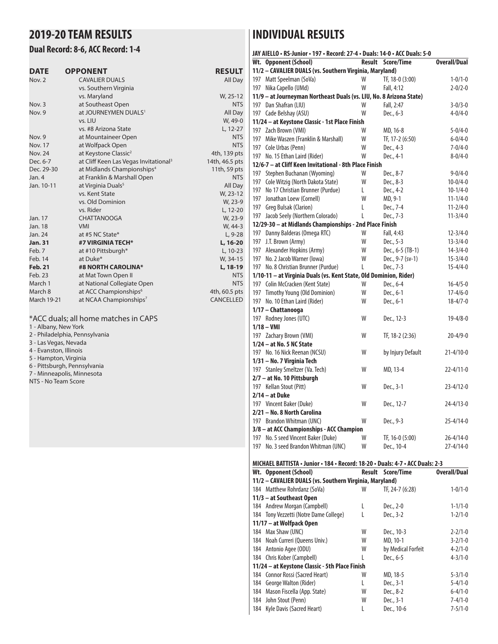## **2019-20 TEAM RESULTS**

#### **Dual Record: 8-6, ACC Record: 1-4**

| <b>DATE</b>        | <b>OPPONENT</b>                                   | <b>RESULT</b>  |
|--------------------|---------------------------------------------------|----------------|
| Now. 2             | <b>CAVALIER DUALS</b>                             | All Day        |
|                    | vs. Southern Virginia                             |                |
|                    | vs. Maryland                                      | W, 25-12       |
| Nov. 3             | at Southeast Open                                 | <b>NTS</b>     |
| Nov. 9             | at JOURNEYMEN DUALS <sup>1</sup>                  | All Day        |
|                    | vs. LIU                                           | W, 49-0        |
|                    | vs. #8 Arizona State                              | L, 12-27       |
| Nov. 9             | at Mountaineer Open                               | <b>NTS</b>     |
| Nov. 17            | at Wolfpack Open                                  | <b>NTS</b>     |
| Nov. 24            | at Keystone Classic <sup>2</sup>                  | 4th, 139 pts   |
| Dec. 6-7           | at Cliff Keen Las Vegas Invitational <sup>3</sup> | 14th, 46.5 pts |
| Dec. 29-30         | at Midlands Championships <sup>4</sup>            | 11th, 59 pts   |
| Jan. 4             | at Franklin & Marshall Open                       | <b>NTS</b>     |
| Jan. 10-11         | at Virginia Duals <sup>5</sup>                    | All Day        |
|                    | vs. Kent State                                    | W, 23-12       |
|                    | vs. Old Dominion                                  | W, 23-9        |
|                    | vs. Rider                                         | L, 12-20       |
| Jan. 17            | <b>CHATTANOOGA</b>                                | W, 23-9        |
| Jan. 18            | <b>VMI</b>                                        | W, 44-3        |
| Jan. 24            | at #5 NC State*                                   | $L, 9-28$      |
| Jan. 31            | #7 VIRGINIA TECH*                                 | L, 16-20       |
| Feb. 7             | at #10 Pittsburgh*                                | L, 10-23       |
| Feb. 14            | at Duke*                                          | W, 34-15       |
| <b>Feb. 21</b>     | #8 NORTH CAROLINA*                                | L, 18-19       |
| Feb. 23            | at Mat Town Open II                               | <b>NTS</b>     |
| March 1            | at National Collegiate Open                       | <b>NTS</b>     |
| March 8            | at ACC Championships <sup>6</sup>                 | 4th, 60.5 pts  |
| <b>March 19-21</b> | at NCAA Championships <sup>7</sup>                | CANCELLED      |
|                    |                                                   |                |

#### \*ACC duals; all home matches in CAPS

1 - Albany, New York

| 2 - Philadelphia, Pennsylvania |  |
|--------------------------------|--|
|--------------------------------|--|

- 3 Las Vegas, Nevada
- 4 Evanston, Illinois
- 5 Hampton, Virginia
- 6 Pittsburgh, Pennsylvania
- 7 Minneapolis, Minnesota
- NTS No Team Score

## **INDIVIDUAL RESULTS**

|     | JAY AIELLO • RS-Junior • 197 • Record: 27-4 • Duals: 14-0 • ACC Duals: 5-0    |               |                    |                     |
|-----|-------------------------------------------------------------------------------|---------------|--------------------|---------------------|
|     | Wt. Opponent (School)                                                         | <b>Result</b> | Score/Time         | <b>Overall/Dual</b> |
|     | 11/2 - CAVALIER DUALS (vs. Southern Virginia, Maryland)                       |               |                    |                     |
|     | 197 Matt Speelman (SoVa)                                                      | W             | TF, 18-0 (3:00)    | $1 - 0/1 - 0$       |
| 197 | Nika Capello (UMd)                                                            | W             | Fall, 4:12         | $2 - 0/2 - 0$       |
|     | 11/9 - at Journeyman Northeast Duals (vs. LIU, No. 8 Arizona State)           |               |                    |                     |
| 197 | Dan Shafran (LIU)                                                             | W             | Fall, 2:47         | $3 - 0/3 - 0$       |
|     | 197 Cade Belshay (ASU)                                                        | W             | Dec., 6-3          | $4 - 0/4 - 0$       |
|     | 11/24 - at Keystone Classic - 1st Place Finish                                |               |                    |                     |
|     | 197 Zach Brown (VMI)                                                          | W             | MD, 16-8           | $5 - 0/4 - 0$       |
| 197 | Mike Waszen (Franklin & Marshall)                                             | W             | TF, 17-2 (6:50)    | $6 - 0/4 - 0$       |
|     | 197 Cole Urbas (Penn)                                                         | W             | Dec., 4-3          | $7 - 0/4 - 0$       |
|     |                                                                               | W             |                    |                     |
|     | 197 No. 15 Ethan Laird (Rider)                                                |               | Dec., 4-1          | $8 - 0/4 - 0$       |
|     | 12/6-7 - at Cliff Keen Invitational - 8th Place Finish                        |               |                    |                     |
|     | 197 Stephen Buchanan (Wyoming)                                                | W             | Dec., 8-7          | $9 - 0/4 - 0$       |
|     | 197 Cole Witzig (North Dakota State)                                          | W             | Dec., 8-3          | $10 - 0/4 - 0$      |
| 197 | No 17 Christian Brunner (Purdue)                                              | L             | Dec., 4-2          | $10 - 1/4 - 0$      |
| 197 | Jonathan Loew (Cornell)                                                       | W             | MD, 9-1            | $11 - 1/4 - 0$      |
| 197 | Greg Bulsak (Clarion)                                                         | L             | Dec., 7-4          | $11 - 2/4 - 0$      |
|     | 197 Jacob Seely (Northern Colorado)                                           | L             | Dec., 7-3          | $11-3/4-0$          |
|     | 12/29-30 - at Midlands Championships - 2nd Place Finish                       |               |                    |                     |
|     | 197 Danny Balderas (Omega RTC)                                                | W             | Fall, 4:43         | $12 - 3/4 - 0$      |
| 197 | J.T. Brown (Army)                                                             | W             | Dec., 5-3          | $13 - 3/4 - 0$      |
| 197 | Alexander Hopkins (Army)                                                      | W             | Dec., 6-5 (TB-1)   | $14 - 3/4 - 0$      |
| 197 | No. 2 Jacob Warner (Iowa)                                                     | W             | Dec., 9-7 (sv-1)   | $15 - 3/4 - 0$      |
|     | 197 No. 8 Christian Brunner (Purdue)                                          | L             | Dec., 7-3          | $15 - 4/4 - 0$      |
|     | 1/10-11 - at Virginia Duals (vs. Kent State, Old Dominion, Rider)             |               |                    |                     |
|     | 197 Colin McCracken (Kent State)                                              | W             | Dec., 6-4          | $16 - 4/5 - 0$      |
|     | 197 Timothy Young (Old Dominion)                                              | W             | Dec., 6-1          | $17 - 4/6 - 0$      |
|     | 197 No. 10 Ethan Laird (Rider)                                                | W             | Dec., 6-1          | $18 - 4/7 - 0$      |
|     | 1/17 - Chattanooga                                                            |               |                    |                     |
|     | 197 Rodney Jones (UTC)                                                        | W             | Dec., 12-3         | $19 - 4/8 - 0$      |
|     | $1/18 - VMI$                                                                  |               |                    |                     |
|     | 197 Zachary Brown (VMI)                                                       | W             | TF, 18-2 (2:36)    | $20 - 4/9 - 0$      |
|     | 1/24 - at No. 5 NC State                                                      |               |                    |                     |
|     | 197 No. 16 Nick Reenan (NCSU)                                                 | W             | by Injury Default  | $21 - 4/10 - 0$     |
|     | 1/31 - No. 7 Virginia Tech                                                    |               |                    |                     |
|     | 197 Stanley Smeltzer (Va. Tech)                                               | W             | MD, 13-4           | $22 - 4/11 - 0$     |
|     | 2/7 - at No. 10 Pittsburgh                                                    |               |                    |                     |
|     | 197 Kellan Stout (Pitt)                                                       | W             | Dec., 3-1          | $23 - 4/12 - 0$     |
|     | $2/14 - at Duke$                                                              |               |                    |                     |
|     |                                                                               |               |                    |                     |
|     | 197 Vincent Baker (Duke)                                                      | W             | Dec., 12-7         | $24 - 4/13 - 0$     |
|     | 2/21 – No. 8 North Carolina                                                   |               |                    |                     |
|     | 197 Brandon Whitman (UNC)                                                     | W             | Dec., 9-3          | $25 - 4/14 - 0$     |
|     | 3/8 - at ACC Championships - ACC Champion                                     |               |                    |                     |
|     | 197 No. 5 seed Vincent Baker (Duke)                                           | W             | TF, 16-0 (5:00)    | 26-4/14-0           |
|     | 197 No. 3 seed Brandon Whitman (UNC)                                          | W             | Dec., 10-4         | $27 - 4/14 - 0$     |
|     |                                                                               |               |                    |                     |
|     | MICHAEL BATTISTA · Junior · 184 · Record: 18-20 · Duals: 4-7 · ACC Duals: 2-3 |               |                    |                     |
|     | Wt. Opponent (School)                                                         | Result        | Score/Time         | <b>Overall/Dual</b> |
|     | 11/2 - CAVALIER DUALS (vs. Southern Virginia, Maryland)                       |               |                    |                     |
|     | 184 Matthew Rohrdanz (SoVa)                                                   | W             | TF, 24-7 (6:28)    | $1 - 0/1 - 0$       |
|     | 11/3 - at Southeast Open                                                      |               |                    |                     |
|     | 184 Andrew Morgan (Campbell)                                                  | L             | Dec., 2-0          | $1 - 1/1 - 0$       |
|     | 184 Tony Vezzetti (Notre Dame College)                                        | L             | Dec., 3-2          | $1 - 2/1 - 0$       |
|     | 11/17 - at Wolfpack Open                                                      |               |                    |                     |
|     | 184 Max Shaw (UNC)                                                            | W             | Dec., 10-3         | $2 - 2/1 - 0$       |
|     | 184 Noah Curreri (Queens Univ.)                                               | W             | MD, 10-1           | $3 - 2/1 - 0$       |
|     | 184 Antonio Agee (ODU)                                                        | W             | by Medical Forfeit | $4 - 2/1 - 0$       |
|     | 184 Chris Kober (Campbell)                                                    | L             | Dec., 6-5          | $4 - 3/1 - 0$       |
|     | 11/24 - at Keystone Classic - 5th Place Finish                                |               |                    |                     |
|     | 184 Connor Rossi (Sacred Heart)                                               | <b>W</b>      | MD 18-5            | $5 - 3/1 - 0$       |

 Connor Rossi (Sacred Heart) W MD, 18-5 5-3/1-0 George Walton (Rider) L Dec., 3-1 5-4/1-0 Mason Fiscella (App. State) W Dec., 8-2 6-4/1-0 184 John Stout (Penn) W Dec., 3-1 Kyle Davis (Sacred Heart) L Dec., 10-6 7-5/1-0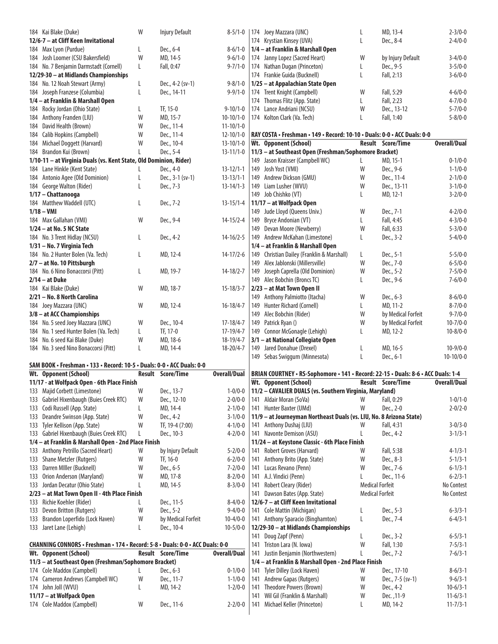| 184 Kai Blake (Duke)                                                          | W | <b>Injury Default</b>    | $8 - 5/1 - 0$       |     | 174 Joey Mazzara (UNC)                                                            | L                      | MD, 13-4                 | $2 - 3/0 - 0$                |
|-------------------------------------------------------------------------------|---|--------------------------|---------------------|-----|-----------------------------------------------------------------------------------|------------------------|--------------------------|------------------------------|
| 12/6-7 - at Cliff Keen Invitational                                           |   |                          |                     |     | 174 Krystian Kinsey (UVA)                                                         | L                      | Dec., 8-4                | $2 - 4/0 - 0$                |
| 184 Max Lyon (Purdue)                                                         | L | Dec., 6-4                | $8-6/1-0$           |     | 1/4 - at Franklin & Marshall Open                                                 |                        |                          |                              |
| 184 Josh Loomer (CSU Bakersfield)                                             | W | MD, 14-5                 | $9 - 6/1 - 0$       |     | 174 Janny Lopez (Sacred Heart)                                                    | W                      | by Injury Default        | $3 - 4/0 - 0$                |
|                                                                               |   |                          |                     |     |                                                                                   |                        |                          |                              |
| 184 No. 7 Benjamin Darmstadt (Cornell)                                        | L | Fall, 0:47               | $9 - 7/1 - 0$       |     | 174 Nathan Dugan (Princeton)                                                      | L                      | Dec., 9-5                | $3 - 5/0 - 0$                |
| 12/29-30 - at Midlands Championships                                          |   |                          |                     |     | 174 Frankie Guida (Bucknell)                                                      | L                      | Fall, 2:13               | $3 - 6/0 - 0$                |
| 184 No. 12 Noah Stewart (Army)                                                | L | Dec., 4-2 (sv-1)         | $9 - 8/1 - 0$       |     | 1/25 - at Appalachian State Open                                                  |                        |                          |                              |
| 184 Joseph Franzese (Columbia)                                                | L | Dec., 14-11              | $9 - 9/1 - 0$       |     | 174 Trent Knight (Campbell)                                                       | W                      | Fall, 5:29               | $4 - 6/0 - 0$                |
| 1/4 - at Franklin & Marshall Open                                             |   |                          |                     |     | 174 Thomas Flitz (App. State)                                                     | L                      | Fall, 2:23               | $4 - 7/0 - 0$                |
| 184 Rocky Jordan (Ohio State)                                                 | L | TF, 15-0                 | $9 - 10/1 - 0$      |     | 174 Lance Andriani (NCSU)                                                         | W                      | Dec., 13-12              | $5 - 7/0 - 0$                |
| 184 Anthony Franden (LIU)                                                     | W | MD, 15-7                 | $10-10/1-0$         |     | 174 Kolton Clark (Va. Tech)                                                       | Г                      | Fall, 1:40               | $5 - 8/0 - 0$                |
| 184 David Health (Brown)                                                      | W | Dec., 11-4               | $11 - 10/1 - 0$     |     |                                                                                   |                        |                          |                              |
|                                                                               |   |                          |                     |     | RAY COSTA • Freshman • 149 • Record: 10-10 • Duals: 0-0 • ACC Duals: 0-0          |                        |                          |                              |
| 184 Calib Hopkins (Campbell)                                                  | W | Dec., 11-4               | $12 - 10/1 - 0$     |     |                                                                                   |                        |                          |                              |
| 184 Michael Doggett (Harvard)                                                 | W | Dec., 10-4               | $13 - 10/1 - 0$     |     | Wt. Opponent (School)                                                             |                        | <b>Result Score/Time</b> | <b>Overall/Dual</b>          |
| 184 Brandon Kui (Brown)                                                       |   | Dec., 5-4                | $13 - 11/1 - 0$     |     | 11/3 - at Southeast Open (Freshman/Sophomore Bracket)                             |                        |                          |                              |
| 1/10-11 - at Virginia Duals (vs. Kent State, Old Dominion, Rider)             |   |                          |                     |     | 149 Jason Kraisser (Campbell WC)                                                  | L                      | MD, 15-1                 | $0 - 1/0 - 0$                |
| 184 Lane Hinkle (Kent State)                                                  | L | Dec., 4-0                | $13 - 12/1 - 1$     |     | 149 Josh Yost (VMI)                                                               | W                      | Dec., 9-6                | $1 - 1/0 - 0$                |
| 184 Antonio Agee (Old Dominion)                                               | L | Dec., 3-1 (sv-1)         | $13 - 13/1 - 1$     |     | 149 Andrew Dickson (GMU)                                                          | W                      | Dec., 11-4               | $2 - 1/0 - 0$                |
| 184 George Walton (Rider)                                                     | L | Dec., 7-3                | $13 - 14/1 - 3$     |     | 149 Liam Lusher (WVU)                                                             | W                      | Dec., 13-11              | $3 - 1/0 - 0$                |
| 1/17 - Chattanooga                                                            |   |                          |                     |     | 149 Job Chishko (VT)                                                              | L                      | MD, 12-1                 | $3 - 2/0 - 0$                |
| 184 Matthew Waddell (UTC)                                                     | L | Dec., 7-2                | $13 - 15/1 - 4$     |     | 11/17 - at Wolfpack Open                                                          |                        |                          |                              |
|                                                                               |   |                          |                     |     |                                                                                   |                        |                          |                              |
| $1/18 - VMI$                                                                  |   |                          |                     |     | 149 Jude Lloyd (Queens Univ.)                                                     | W                      | Dec., 7-1                | $4 - 2/0 - 0$                |
| 184 Max Gallahan (VMI)                                                        | W | Dec., 9-4                | $14 - 15/2 - 4$     |     | 149 Bryce Andonian (VT)                                                           | L                      | Fall, 4:45               | $4 - 3/0 - 0$                |
| $1/24$ – at No. 5 NC State                                                    |   |                          |                     |     | 149 Devan Moore (Newberry)                                                        | W                      | Fall, 6:33               | $5 - 3/0 - 0$                |
| 184 No. 3 Trent Hidlay (NCSU)                                                 | L | Dec., 4-2                | $14 - 16/2 - 5$     |     | 149 Andrew McKahan (Limestone)                                                    | L                      | Dec., 3-2                | $5 - 4/0 - 0$                |
| 1/31 - No. 7 Virginia Tech                                                    |   |                          |                     |     | 1/4 - at Franklin & Marshall Open                                                 |                        |                          |                              |
| 184 No. 2 Hunter Bolen (Va. Tech)                                             | L | MD, 12-4                 | $14 - 17/2 - 6$     |     | 149 Christian Dailey (Franklin & Marshall)                                        | L                      | Dec., 5-1                | $5 - 5/0 - 0$                |
| 2/7 - at No. 10 Pittsburgh                                                    |   |                          |                     |     | 149 Alex Jablonski (Millersville)                                                 | W                      | Dec., 7-0                | $6 - 5/0 - 0$                |
|                                                                               |   |                          |                     |     |                                                                                   |                        |                          |                              |
| 184 No. 6 Nino Bonaccorsi (Pitt)                                              | L | MD, 19-7                 | $14 - 18/2 - 7$     | 149 | Joseph Caprella (Old Dominion)                                                    | W                      | Dec., 5-2                | $7 - 5/0 - 0$                |
| $2/14$ – at Duke                                                              |   |                          |                     |     | 149 Alec Bobchin (Broncs TC)                                                      | L                      | Dec., 9-6                | $7 - 6/0 - 0$                |
| 184 Kai Blake (Duke)                                                          | W | MD, 18-7                 | $15 - 18/3 - 7$     |     | 2/23 - at Mat Town Open II                                                        |                        |                          |                              |
| 2/21 - No. 8 North Carolina                                                   |   |                          |                     |     | 149 Anthony Palmiotto (Itacha)                                                    | W                      | Dec., 6-3                | $8 - 6/0 - 0$                |
| 184 Joey Mazzara (UNC)                                                        | W | MD, 12-4                 | $16 - 18/4 - 7$     |     | 149 Hunter Richard (Cornell)                                                      | L                      | MD, 11-2                 | $8 - 7/0 - 0$                |
|                                                                               |   |                          |                     |     |                                                                                   |                        |                          |                              |
|                                                                               |   |                          |                     |     |                                                                                   |                        |                          |                              |
| 3/8 - at ACC Championships                                                    |   |                          |                     |     | 149 Alec Bobchin (Rider)                                                          | W                      | by Medical Forfeit       | $9 - 7/0 - 0$                |
| 184 No. 5 seed Joey Mazzara (UNC)                                             | W | Dec., 10-4               | $17 - 18/4 - 7$     |     | 149 Patrick Ryan ()                                                               | W                      | by Medical Forfeit       | $10 - 7/0 - 0$               |
| 184 No. 1 seed Hunter Bolen (Va. Tech)                                        | L | TF, 17-0                 | $17-19/4-7$         |     | 149 Connor McGonagle (Lehigh)                                                     | L                      | MD, 12-2                 | $10 - 8/0 - 0$               |
| 184 No. 6 seed Kai Blake (Duke)                                               | W | MD, 18-6                 | $18 - 19/4 - 7$     |     | 3/1 - at National Collegiate Open                                                 |                        |                          |                              |
| 184 No. 3 seed Nino Bonaccorsi (Pitt)                                         | L | MD, 14-4                 | $18 - 20/4 - 7$     |     | 149 Jared Donahue (Drexel)                                                        | L                      | MD, 16-5                 | $10-9/0-0$                   |
|                                                                               |   |                          |                     |     | 149 Sebas Swiggum (Minnesota)                                                     | L                      | Dec., 6-1                | $10-10/0-0$                  |
| SAM BOOK • Freshman • 133 • Record: 10-5 • Duals: 0-0 • ACC Duals: 0-0        |   |                          |                     |     |                                                                                   |                        |                          |                              |
| Wt. Opponent (School)                                                         |   | Result Score/Time        | <b>Overall/Dual</b> |     | BRIAN COURTNEY • RS-Sophomore • 141 • Record: 22-15 • Duals: 8-6 • ACC Duals: 1-4 |                        |                          |                              |
| 11/17 - at Wolfpack Open - 6th Place Finish                                   |   |                          |                     |     | Wt. Opponent (School)                                                             |                        | <b>Result Score/Time</b> | <b>Overall/Dual</b>          |
|                                                                               |   |                          |                     |     |                                                                                   |                        |                          |                              |
| 133 Majid Corbett (Limestone)                                                 | W | Dec., 13-7               | $1 - 0/0 - 0$       |     | 11/2 - CAVALIER DUALS (vs. Southern Virginia, Maryland)                           |                        |                          |                              |
| 133 Gabriel Hixenbaugh (Buies Creek RTC)                                      | W | Dec., 12-10              | $2 - 0/0 - 0$       |     | 141 Aldair Moran (SoVa)                                                           | W                      | Fall, 0:29               | $1 - 0/1 - 0$                |
| 133 Codi Russell (App. State)                                                 | L | MD, 14-4                 | $2 - 1/0 - 0$       |     | 141 Hunter Baxter (UMd)                                                           | W                      | Dec., 2-0                | $2 - 0/2 - 0$                |
| 133 Deandre Swinson (App. State)                                              | W | Dec., 4-2                | $3-1/0-0$           |     | 11/9 - at Journeyman Northeast Duals (vs. LIU, No. 8 Arizona State)               |                        |                          |                              |
| 133 Tyler Kellison (App. State)                                               | W | TF, 19-4 (7:00)          | $4 - 1/0 - 0$       |     | 141 Anthony Dushaj (LIU)                                                          | W                      | Fall, 4:31               | $3 - 0/3 - 0$                |
| 133 Gabriel Hixenbaugh (Buies Creek RTC)                                      | L | Dec., 10-3               | $4 - 2/0 - 0$       |     | 141 Navonte Demison (ASU)                                                         | L                      | Dec., 4-2                | $3 - 1/3 - 1$                |
| 1/4 - at Franklin & Marshall Open - 2nd Place Finish                          |   |                          |                     |     | 11/24 - at Keystone Classic - 6th Place Finish                                    |                        |                          |                              |
| 133 Anthony Petrillo (Sacred Heart)                                           | W | by Injury Default        | $5 - 2/0 - 0$       |     | 141 Robert Groves (Harvard)                                                       | W                      | Fall, 5:38               | $4 - 1/3 - 1$                |
|                                                                               |   |                          |                     |     |                                                                                   |                        |                          |                              |
| 133 Shane Metzler (Rutgers)                                                   | W | TF, 16-0                 | $6 - 2/0 - 0$       |     | 141 Anthony Brito (App. State)                                                    | W                      | Dec., 8-3                | $5 - 1/3 - 1$                |
| 133 Darren Miller (Bucknell)                                                  | W | Dec., 6-5                | $7 - 2/0 - 0$       |     | 141 Lucas Revano (Penn)                                                           | W                      | Dec., 7-6                | $6 - 1/3 - 1$                |
| 133 Orion Anderson (Maryland)                                                 | W | MD, 17-8                 | $8 - 2/0 - 0$       |     | 141 A.J. Vindici (Penn)                                                           | L                      | Dec., 11-6               | $6 - 2/3 - 1$                |
| 133 Jordan Decatur (Ohio State)                                               | L | MD, 14-5                 | $8 - 3/0 - 0$       |     | 141 Robert Cleary (Rider)                                                         | <b>Medical Forfeit</b> |                          | No Contest                   |
| 2/23 - at Mat Town Open II - 4th Place Finish                                 |   |                          |                     |     | 141 Dawson Bates (App. State)                                                     | <b>Medical Forfeit</b> |                          | No Contest                   |
| 133 Richie Koehler (Rider)                                                    |   | Dec., 11-5               | $8 - 4/0 - 0$       |     | 12/6-7 - at Cliff Keen Invitational                                               |                        |                          |                              |
| 133 Devon Britton (Rutgers)                                                   | W | Dec., 5-2                | $9 - 4/0 - 0$       |     | 141 Cole Mattin (Michigan)                                                        | L                      | Dec., 5-3                | $6 - 3/3 - 1$                |
| 133 Brandon Loperfido (Lock Haven)                                            | W | by Medical Forfeit       | $10 - 4/0 - 0$      |     |                                                                                   | L                      | Dec., 7-4                | $6 - 4/3 - 1$                |
|                                                                               | L |                          |                     |     | 141 Anthony Sparacio (Binghamton)                                                 |                        |                          |                              |
| 133 Jaret Lane (Lehigh)                                                       |   | Dec., 10-4               | $10-5/0-0$          |     | 12/29-30 - at Midlands Championships                                              |                        |                          |                              |
|                                                                               |   |                          |                     |     | 141 Doug Zapf (Penn)                                                              | L                      | Dec., 3-2                | $6 - 5/3 - 1$                |
| CHANNING CONNORS • Freshman • 174 • Record: 5-8 • Duals: 0-0 • ACC Duals: 0-0 |   |                          |                     |     | 141 Triston Lara (N. Iowa)                                                        | W                      | Fall, 1:30               | $7 - 5/3 - 1$                |
| Wt. Opponent (School)                                                         |   | <b>Result Score/Time</b> | <b>Overall/Dual</b> |     | 141 Justin Benjamin (Northwestern)                                                | L                      | Dec., 7-2                | $7 - 6/3 - 1$                |
| 11/3 - at Southeast Open (Freshman/Sophomore Bracket)                         |   |                          |                     |     | 1/4 - at Franklin & Marshall Open - 2nd Place Finish                              |                        |                          |                              |
| 174 Cole Maddox (Campbell)                                                    |   | Dec., 6-3                | $0 - 1/0 - 0$       |     | 141 Tyler Dilley (Lock Haven)                                                     | W                      | Dec., 17-10              | $8-6/3-1$                    |
| 174 Cameron Andrews (Campbell WC)                                             | W | Dec., 11-7               | $1 - 1/0 - 0$       |     | 141 Andrew Gapas (Rutgers)                                                        | W                      | Dec., 7-5 (sv-1)         | $9 - 6/3 - 1$                |
| 174 John Joll (WVU)                                                           | L | MD, 14-2                 | $1 - 2/0 - 0$       |     | 141 Theodore Powers (Brown)                                                       | W                      | Dec., 4-2                | $10-6/3-1$                   |
|                                                                               |   |                          |                     |     |                                                                                   |                        |                          |                              |
| 11/17 – at Wolfpack Open<br>174 Cole Maddox (Campbell)                        | W | Dec., 11-6               | $2 - 2/0 - 0$       |     | 141 Wil Gil (Franklin & Marshall)<br>141 Michael Keller (Princeton)               | W<br>L                 | Dec., 11-9<br>MD, 14-2   | $11-6/3-1$<br>$11 - 7/3 - 1$ |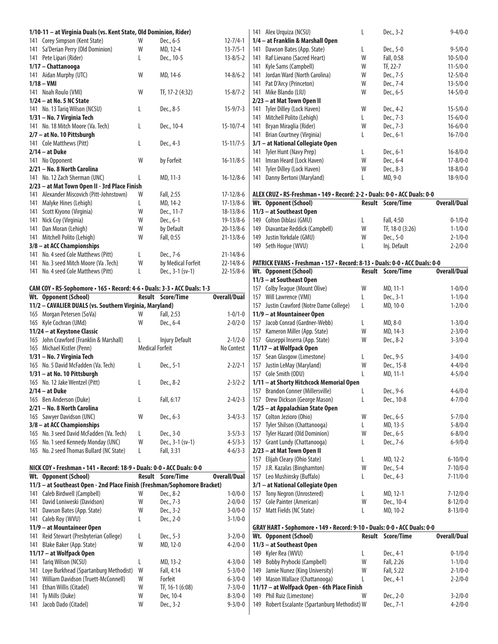|     | 1/10-11 - at Virginia Duals (vs. Kent State, Old Dominion, Rider)        |   |                          |                     |
|-----|--------------------------------------------------------------------------|---|--------------------------|---------------------|
|     | 141 Corey Simpson (Kent State)                                           | W | Dec., 6-5                | $12 - 7/4 - 1$      |
| 141 | Sa'Derian Perry (Old Dominion)                                           | W | MD, 12-4                 | $13 - 7/5 - 1$      |
|     | 141 Pete Lipari (Rider)                                                  | L | Dec., 10-5               | $13 - 8/5 - 2$      |
|     | 1/17 - Chattanooga                                                       |   |                          |                     |
|     | 141 Aidan Murphy (UTC)                                                   | W | MD, 14-6                 | $14 - 8/6 - 2$      |
|     | $1/18 - VMI$                                                             |   |                          |                     |
|     | 141 Noah Roulo (VMI)                                                     | W | TF, 17-2 (4:32)          | $15 - 8/7 - 2$      |
|     | 1/24 - at No. 5 NC State                                                 |   |                          |                     |
|     | 141 No. 13 Tariq Wilson (NCSU)                                           | L | Dec., 8-5                | $15 - 9/7 - 3$      |
|     | 1/31 - No. 7 Virginia Tech                                               |   |                          |                     |
|     | 141 No. 18 Mitch Moore (Va. Tech)                                        | L | Dec., 10-4               | $15 - 10/7 - 4$     |
|     | 2/7 - at No. 10 Pittsburgh                                               |   |                          |                     |
|     | 141 Cole Matthews (Pitt)                                                 | L | Dec., 4-3                | $15 - 11/7 - 5$     |
|     | $2/14 - at Duke$                                                         |   |                          |                     |
|     | 141 No Opponent                                                          | W | by Forfeit               | $16 - 11/8 - 5$     |
|     | 2/21 - No. 8 North Carolina                                              |   |                          |                     |
|     | 141 No. 12 Zach Sherman (UNC)                                            | L | MD, 11-3                 | $16 - 12/8 - 6$     |
|     | 2/23 - at Mat Town Open II - 3rd Place Finish                            |   |                          |                     |
|     | 141 Alexander Miscovich (Pitt-Johnstown)                                 | W | Fall, 2:55               | $17 - 12/8 - 6$     |
| 141 | Malyke Hines (Lehigh)                                                    | L | MD, 14-2                 | $17 - 13/8 - 6$     |
|     | 141 Scott Kiyono (Virginia)                                              | W | Dec., 11-7               | $18 - 13/8 - 6$     |
|     | 141 Nick Coy (Virginia)                                                  | W | Dec., 6-1                | $19 - 13/8 - 6$     |
|     | 141 Dan Moran (Lehigh)                                                   | W | by Default               | $20 - 13/8 - 6$     |
| 141 | Mitchell Polito (Lehigh)                                                 | W | Fall, 0:55               | $21 - 13/8 - 6$     |
|     | 3/8 - at ACC Championships                                               |   |                          |                     |
|     | 141 No. 4 seed Cole Matthews (Pitt)                                      | L | Dec., 7-6                | $21 - 14/8 - 6$     |
|     | 141 No. 3 seed Mitch Moore (Va .Tech)                                    | W | by Medical Forfeit       | $22 - 14/8 - 6$     |
| 141 | No. 4 seed Cole Matthews (Pitt)                                          | L | Dec., 3-1 (sv-1)         | $22 - 15/8 - 6$     |
|     | CAM COY . RS-Sophomore . 165 . Record: 4-6 . Duals: 3-3 . ACC Duals: 1-3 |   |                          |                     |
|     | Wt. Opponent (School)                                                    |   | <b>Result Score/Time</b> | <b>Overall/Dual</b> |
|     | 11/2 - CAVALIER DUALS (vs. Southern Virginia, Maryland)                  |   |                          |                     |
|     | 165 Morgan Petersen (SoVa)                                               | W | Fall, 2:53               | $1 - 0/1 - 0$       |
|     | 165 Kyle Cochran (UMd)                                                   | W | Dec., 6-4                | $2 - 0/2 - 0$       |
|     |                                                                          |   |                          |                     |

| 165 Kyle Cochran (UMQ)                   | <b>VV</b>              | Dec., 6-4             | 2-0/2-0       |
|------------------------------------------|------------------------|-----------------------|---------------|
| 11/24 – at Keystone Classic              |                        |                       |               |
| 165 John Crawford (Franklin & Marshall)  |                        | <b>Injury Default</b> | $2 - 1/2 - 0$ |
| 165 Michael Kistler (Penn)               | <b>Medical Forfeit</b> |                       | No Contest    |
| 1/31 – No. 7 Virginia Tech               |                        |                       |               |
| 165 No. 5 David McFadden (Va. Tech)      | L                      | Dec., 5-1             | $2 - 2/2 - 1$ |
| 1/31 - at No. 10 Pittsburgh              |                        |                       |               |
| 165 No. 12 Jake Wentzel (Pitt)           | L                      | Dec., 8-2             | $2 - 3/2 - 2$ |
| $2/14 - at Duke$                         |                        |                       |               |
| 165 Ben Anderson (Duke)                  | L                      | Fall, 6:17            | $2 - 4/2 - 3$ |
| 2/21 - No. 8 North Carolina              |                        |                       |               |
| 165 Sawyer Davidson (UNC)                | W                      | Dec., 6-3             | $3 - 4/3 - 3$ |
| $3/8$ – at ACC Championships             |                        |                       |               |
| 165 No. 3 seed David McFadden (Va. Tech) | L                      | Dec., 3-0             | $3 - 5/3 - 3$ |
| 165 No. 1 seed Kennedy Monday (UNC)      | W                      | Dec., 3-1 (sv-1)      | $4 - 5/3 - 3$ |
| 165 No. 2 seed Thomas Bullard (NC State) | L                      | Fall, 3:31            | $4 - 6/3 - 3$ |
|                                          |                        |                       |               |

| NICK COY • Freshman • 141 • Record: 18-9 • Duals: 0-0 • ACC Duals: 0-0   |   |                          |                     |
|--------------------------------------------------------------------------|---|--------------------------|---------------------|
| Wt. Opponent (School)                                                    |   | <b>Result</b> Score/Time | <b>Overall/Dual</b> |
| 11/3 - at Southeast Open - 2nd Place Finish (Freshman/Sophomore Bracket) |   |                          |                     |
| 141 Caleb Birdwell (Campbell)                                            | W | Dec., 8-2                | $1 - 0/0 - 0$       |
| 141 David Loniweski (Davidson)                                           | W | Dec., 7-3                | $2 - 0/0 - 0$       |
| 141 Dawson Bates (App. State)                                            | W | Dec., 3-2                | $3 - 0/0 - 0$       |
| 141 Caleb Roy (WVU)                                                      | L | Dec., 2-0                | $3 - 1/0 - 0$       |
| 11/9 – at Mountaineer Open                                               |   |                          |                     |
| 141 Reid Stewart (Presbyterian College)                                  | L | Dec., 5-3                | $3 - 2/0 - 0$       |
| 141 Blake Baker (App. State)                                             | W | MD, 12-0                 | $4 - 2/0 - 0$       |
| 11/17 – at Wolfpack Open                                                 |   |                          |                     |
| 141 Tarig Wilson (NCSU)                                                  | L | MD, 13-2                 | $4 - 3/0 - 0$       |
| 141 Loye Burkhead (Spartanburg Methodist)                                | W | Fall, 4:14               | $5 - 3/0 - 0$       |
| 141 William Davidson (Truett-McConnell)                                  | W | Forfeit                  | $6 - 3/0 - 0$       |
| 141 Ethan Willis (Citadel)                                               | W | TF, 16-1 (6:08)          | $7 - 3/0 - 0$       |
| 141 Ty Mills (Duke)                                                      | W | Dec. 10-4                | $8 - 3/0 - 0$       |
| 141 Jacob Dado (Citadel)                                                 | W | Dec., 3-2                | $9 - 3/0 - 0$       |
|                                                                          |   |                          |                     |

| 141 | Alex Urquiza (NCSU)                                                         | L             | Dec., 3-2              | $9 - 4/0 - 0$                  |
|-----|-----------------------------------------------------------------------------|---------------|------------------------|--------------------------------|
|     | 1/4 - at Franklin & Marshall Open                                           |               |                        |                                |
| 141 | Dawson Bates (App. State)                                                   | L             | Dec., 5-0              | $9 - 5/0 - 0$                  |
| 141 | Raf Lievano (Sacred Heart)                                                  | W             | Fall, 0:58             | $10 - 5/0 - 0$                 |
| 141 | Kyle Sams (Campbell)                                                        | W             | TF, 22-7               | $11 - 5/0 - 0$                 |
| 141 | Jordan Ward (North Carolina)                                                | W             | Dec., 7-5              | $12 - 5/0 - 0$                 |
| 141 | Pat D'Arcy (Princeton)                                                      | W             | Dec., 7-4              | $13 - 5/0 - 0$                 |
| 141 | Mike Blando (LIU)                                                           | W             | Dec., 6-5              | $14 - 5/0 - 0$                 |
|     | 2/23 - at Mat Town Open II                                                  |               |                        |                                |
| 141 | Tyler Dilley (Lock Haven)                                                   | W             | Dec., 4-2              | $15 - 5/0 - 0$                 |
| 141 | Mitchell Polito (Lehigh)                                                    | L             | Dec., 7-3              | $15 - 6/0 - 0$                 |
| 141 | Bryan Miraglia (Rider)                                                      | W             | Dec., 7-3              | $16 - 6/0 - 0$                 |
| 141 | Brian Courtney (Virginia)                                                   | L             | Dec., 6-1              | $16 - 7/0 - 0$                 |
|     | 3/1 - at National Collegiate Open                                           |               |                        |                                |
| 141 | Tyler Hunt (Navy Prep)                                                      | L             | Dec., 6-1              | $16 - 8/0 - 0$                 |
| 141 | Imran Heard (Lock Haven)                                                    | W             | Dec., 6-4              | $17 - 8/0 - 0$                 |
| 141 | Tyler Dilley (Lock Haven)                                                   | W             | Dec., 8-3              | $18 - 8/0 - 0$                 |
| 141 | Danny Bertoni (Maryland)                                                    | L             | MD, 9-0                | $18-9/0-0$                     |
|     |                                                                             |               |                        |                                |
|     | ALEX CRUZ · RS-Freshman · 149 · Record: 2-2 · Duals: 0-0 · ACC Duals: 0-0   |               |                        |                                |
|     | Wt. Opponent (School)                                                       | Result        | Score/Time             | <b>Overall/Dual</b>            |
|     | 11/3 - at Southeast Open                                                    |               |                        |                                |
|     | 149 Colton Diblasi (GMU)                                                    | L             | Fall, 4:50             | $0 - 1/0 - 0$                  |
|     | 149 Diavantae Reddick (Campbell)                                            | W             | TF, 18-0 (3:26)        | $1 - 1/0 - 0$                  |
|     | 149 Justin Yorkdale (GMU)                                                   | W             | Dec., 5-0              | $2 - 1/0 - 0$                  |
|     | 149 Seth Hogue (WVU)                                                        | L             | Inj. Default           | $2 - 2/0 - 0$                  |
|     |                                                                             |               |                        |                                |
|     | PATRICK EVANS · Freshman · 157 · Record: 8-13 · Duals: 0-0 · ACC Duals: 0-0 |               |                        |                                |
|     | Wt. Opponent (School)                                                       | Result        | Score/Time             | <b>Overall/Dual</b>            |
|     | 11/3 - at Southeast Open                                                    |               |                        |                                |
|     | 157 Colby Teague (Mount Olive)                                              | W             | MD, 11-1               | $1 - 0/0 - 0$                  |
|     | 157 Will Lawrence (VMI)                                                     | L             | Dec., 3-1              | $1 - 1/0 - 0$                  |
|     | 157 Justin Crawford (Notre Dame College)                                    | L             | MD, 10-0               | $1 - 2/0 - 0$                  |
|     | 11/9 - at Mountaineer Open                                                  |               |                        |                                |
|     | 157 Jacob Conrad (Gardner-Webb)                                             | L             | MD, 8-0                | $1 - 3/0 - 0$                  |
|     | 157 Kameron Miller (App. State)                                             | W             | MD, 14-3               | $2 - 3/0 - 0$                  |
|     | 157 Giuseppi Inserra (App. State)                                           | W             | Dec., 8-2              | $3 - 3/0 - 0$                  |
|     | 11/17 - at Wolfpack Open                                                    |               |                        |                                |
|     | 157 Sean Glasgow (Limestone)                                                | L             | Dec., 9-5              | $3 - 4/0 - 0$                  |
|     | 157 Justin LeMay (Maryland)                                                 | W             | Dec., 15-8             | $4 - 4/0 - 0$                  |
|     | 157 Cole Smith (ODU)                                                        | L             | MD, 11-1               | $4 - 5/0 - 0$                  |
|     | 1/11 - at Shorty Hitchcock Memorial Open                                    |               |                        |                                |
|     | 157 Brandon Conner (Millersville)                                           | - L           | Dec., 9-6              | $4 - 6/0 - 0$                  |
|     | 157 Drew Dickson (George Mason)                                             | L             | Dec., 10-8             | $4 - 7/0 - 0$                  |
|     | 1/25 - at Appalachian State Open                                            |               |                        |                                |
|     | 157 Colton Jezioro (Ohio)                                                   | W             | Dec., 6-5              | $5 - 7/0 - 0$                  |
| 157 | Tyler Shilson (Chattanooga)                                                 | L             | MD, 13-5               | $5 - 8/0 - 0$                  |
| 157 | Tyler Hazard (Old Dominion)                                                 | W             | Dec., 6-5              | $6 - 8/0 - 0$                  |
|     | 157 Grant Lundy (Chattanooga)                                               | L             | Dec., 7-6              | $6 - 9/0 - 0$                  |
|     | 2/23 - at Mat Town Open II                                                  |               |                        |                                |
| 157 |                                                                             |               |                        |                                |
|     | Elijah Cleary (Ohio State)                                                  | L             | MD, 12-2               | $6 - 10/0 - 0$                 |
| 157 | J.R. Kazalas (Binghamton)                                                   | W             | Dec., 5-4              | $7 - 10/0 - 0$                 |
|     | 157 Leo Mushinsky (Buffalo)                                                 | L             | Dec., 4-3              | $7 - 11/0 - 0$                 |
|     | 3/1 - at National Collegiate Open                                           |               |                        |                                |
|     | 157 Tony Negron (Unrostered)                                                | L             | MD, 12-1               | $7 - 12/0 - 0$                 |
| 157 | Cole Painter (American)                                                     | W             | Dec., 10-4             | $8 - 12/0 - 0$                 |
| 157 | Matt Fields (NC State)                                                      | L             | MD, 10-2               | $8 - 13/0 - 0$                 |
|     |                                                                             |               |                        |                                |
|     | GRAY HART · Sophomore · 149 · Record: 9-10 · Duals: 0-0 · ACC Duals: 0-0    |               |                        |                                |
|     | Wt. Opponent (School)                                                       | <b>Result</b> | <b>Score/Time</b>      | <b>Overall/Dual</b>            |
|     | 11/3 - at Southeast Open                                                    |               |                        |                                |
|     | 149 Kyler Rea (WVU)                                                         | L             | Dec., 4-1              | $0 - 1/0 - 0$                  |
|     | 149 Bobby Pryhocki (Campbell)                                               | W             | Fall, 2:26             | $1 - 1/0 - 0$                  |
| 149 | Jamie Nunez (King University)                                               | W             | Fall, 5:22             | $2 - 1/0 - 0$                  |
|     | 149 Mason Wallace (Chattanooga)                                             | L             | Dec., 4-1              | $2 - 2/0 - 0$                  |
|     | 11/17 - at Wolfpack Open - 6th Place Finish                                 | W             |                        |                                |
| 149 | 149 Phil Ruiz (Limestone)<br>Robert Escalante (Spartanburg Methodist) W     |               | Dec., 2-0<br>Dec., 7-1 | $3 - 2/0 - 0$<br>$4 - 2/0 - 0$ |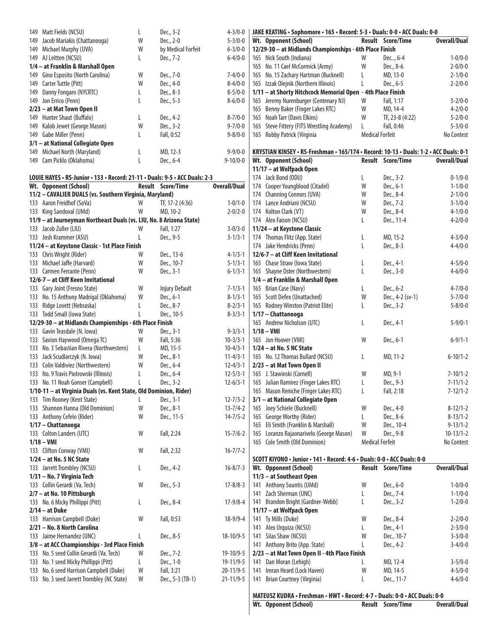| 149 | Matt Fields (NCSU)                                                          | L | Dec., 3-2             | $4 - 3/0 - 0$       |     | JAKE KEATING · Sophomore · 165 · Record: 5-3 · Duals: 0-0 · ACC Duals: 0-0            |                        |                          |                     |
|-----|-----------------------------------------------------------------------------|---|-----------------------|---------------------|-----|---------------------------------------------------------------------------------------|------------------------|--------------------------|---------------------|
| 149 | Jacob Mariakis (Chattanooga)                                                | W | Dec., 2-0             | $5 - 3/0 - 0$       |     | Wt. Opponent (School)                                                                 |                        | <b>Result Score/Time</b> | <b>Overall/Dual</b> |
|     | 149 Michael Murphy (UVA)                                                    | W | by Medical Forfeit    | $6 - 3/0 - 0$       |     | 12/29-30 - at Midlands Championships - 6th Place Finish                               |                        |                          |                     |
|     | 149 AJ Leitten (NCSU)                                                       | L | Dec., 7-2             | $6 - 4/0 - 0$       |     | 165 Nick South (Indiana)                                                              | W                      | Dec, 6-4                 | $1 - 0/0 - 0$       |
|     | 1/4 - at Franklin & Marshall Open                                           |   |                       |                     |     | 165 No. 11 Cael McCormick (Army)                                                      | W                      | Dec., 8-6                | $2 - 0/0 - 0$       |
|     | 149 Gino Esposito (North Carolina)                                          | W | Dec., 7-0             | $7 - 4/0 - 0$       |     | 165 No. 15 Zachary Hartman (Bucknell)                                                 | L                      | MD, 13-0                 | $2 - 1/0 - 0$       |
|     | 149 Carter Tuttle (Pitt)                                                    | W | Dec., 4-0             | $8 - 4/0 - 0$       |     | 165 Izzak Olejnik (Northern Illinois)                                                 | L                      | Dec., 6-5                | $2 - 2/0 - 0$       |
|     |                                                                             |   |                       |                     |     |                                                                                       |                        |                          |                     |
| 149 | Danny Fongaro (NYCRTC)                                                      | L | Dec., 8-3             | $8 - 5/0 - 0$       |     | 1/11 - at Shorty Hitchcock Memorial Open - 4th Place Finish                           |                        |                          |                     |
|     | 149 Jon Errico (Penn)                                                       | L | Dec., 5-3             | $8 - 6/0 - 0$       |     | 165 Jeremy Nurenburger (Centenary NJ)                                                 | W                      | Fall, 1:17               | $3 - 2/0 - 0$       |
|     | 2/23 - at Mat Town Open II                                                  |   |                       |                     | 165 | Benny Baker (Finger Lakes RTC)                                                        | W                      | MD, 14-4                 | $4 - 2/0 - 0$       |
|     | 149 Hunter Shaut (Buffalo)                                                  | L | Dec., 4-2             | $8 - 7/0 - 0$       | 165 | Noah Tarr (Davis Elkins)                                                              | W                      | TF, 23-8 (4:22)          | $5 - 2/0 - 0$       |
|     | 149 Kalob Jewet (George Mason)                                              | W | Dec., 3-2             | $9 - 7/0 - 0$       | 165 | Steve Fittery (FITS Wrestling Academy)                                                | L                      | Fall, 0:46               | $5 - 3/0 - 0$       |
|     | 149 Gabe Miller (Penn)                                                      | L | Fall, 0:52            | $9 - 8/0 - 0$       |     | 165 Robby Patrick (Virginia                                                           | <b>Medical Forfeit</b> |                          | No Contest          |
|     | 3/1 - at National Collegiate Open                                           |   |                       |                     |     |                                                                                       |                        |                          |                     |
|     | 149 Michael North (Maryland)                                                | L | MD, 12-3              | $9 - 9/0 - 0$       |     | KRYSTIAN KINSEY · RS-Freshman · 165/174 · Record: 10-13 · Duals: 1-2 · ACC Duals: 0-1 |                        |                          |                     |
|     | 149 Cam Picklo (Oklahoma)                                                   | L | Dec., 6-4             | $9 - 10/0 - 0$      |     | Wt. Opponent (School)                                                                 |                        | <b>Result Score/Time</b> | <b>Overall/Dual</b> |
|     |                                                                             |   |                       |                     |     | 11/17 - at Wolfpack Open                                                              |                        |                          |                     |
|     |                                                                             |   |                       |                     |     |                                                                                       |                        |                          | $0 - 1/0 - 0$       |
|     | LOUIE HAYES . RS-Junior . 133 . Record: 21-11 . Duals: 9-5 . ACC Duals: 2-3 |   |                       |                     |     | 174 Jack Bond (ODU)                                                                   | L                      | Dec., 3-2                |                     |
|     | Wt. Opponent (School)                                                       |   | Result Score/Time     | <b>Overall/Dual</b> | 174 | Cooper Youngblood (Citadel)                                                           | W                      | Dec., 6-1                | $1 - 1/0 - 0$       |
|     | 11/2 - CAVALIER DUALS (vs. Southern Virginia, Maryland)                     |   |                       |                     |     | 174 Channing Connors (UVA)                                                            | W                      | Dec., 8-4                | $2 - 1/0 - 0$       |
|     | 133 Aaron Freidhof (SoVa)                                                   | W | TF, 17-2 (4:36)       | $1 - 0/1 - 0$       |     | 174 Lance Andriani (NCSU)                                                             | W                      | Dec., 7-2                | $3 - 1/0 - 0$       |
|     | 133 King Sandoval (UMd)                                                     | W | MD, 10-2              | $2 - 0/2 - 0$       |     | 174 Kolton Clark (VT)                                                                 | W                      | Dec., 8-4                | $4 - 1/0 - 0$       |
|     | 11/9 - at Journeyman Northeast Duals (vs. LIU, No. 8 Arizona State)         |   |                       |                     |     | 174 Alex Faison (NCSU)                                                                | L                      | Dec., 11-4               | $4 - 2/0 - 0$       |
|     | 133 Jacob Zuller (LIU)                                                      | W | Fall, 1:27            | $3 - 0/3 - 0$       |     | 11/24 - at Keystone Classic                                                           |                        |                          |                     |
|     | 133 Josh Krammer (ASU)                                                      | L | Dec., 9-5             | $3 - 1/3 - 1$       |     | 174 Thomas Flitz (App. State)                                                         | L                      | MD, 15-2                 | $4 - 3/0 - 0$       |
|     | 11/24 - at Keystone Classic - 1st Place Finish                              |   |                       |                     |     | 174 Jake Hendricks (Penn)                                                             | L                      | Dec., 8-3                | $4 - 4/0 - 0$       |
|     | 133 Chris Wright (Rider)                                                    | W | Dec., 13-6            | $4 - 1/3 - 1$       |     | 12/6-7 - at Cliff Keen Invitational                                                   |                        |                          |                     |
|     |                                                                             |   |                       |                     |     |                                                                                       |                        |                          |                     |
|     | 133 Michael Jaffe (Harvard)                                                 | W | Dec., 10-7            | $5 - 1/3 - 1$       |     | 165 Chase Straw (Iowa State)                                                          | L                      | Dec., 4-1                | $4 - 5/0 - 0$       |
|     | 133 Carmen Ferrante (Penn)                                                  | W | Dec., 3-1             | $6 - 1/3 - 1$       |     | 165 Shayne Oster (Northwestern)                                                       | L                      | Dec., 3-0                | $4 - 6/0 - 0$       |
|     | 12/6-7 - at Cliff Keen Invitational                                         |   |                       |                     |     | 1/4 - at Franklin & Marshall Open                                                     |                        |                          |                     |
|     | 133 Gary Joint (Fresno State)                                               | W | <b>Injury Default</b> | $7 - 1/3 - 1$       |     | 165 Brian Case (Navy)                                                                 | L                      | Dec., 6-2                | $4 - 7/0 - 0$       |
|     | 133 No. 15 Anthony Madrigal (Oklahoma)                                      | W | Dec., 6-1             | $8 - 1/3 - 1$       |     | 165 Scott Defex (Unattached)                                                          | W                      | Dec., 4-2 (sv-1)         | $5 - 7/0 - 0$       |
|     | 133 Ridge Lovett (Nebraska)                                                 | L | Dec., 8-7             | $8 - 2/3 - 1$       |     | 165 Rodney Winston (Patriot Elite)                                                    | L                      | Dec., 3-2                | $5 - 8/0 - 0$       |
|     | 133 Todd Small (Iowa State)                                                 | L | Dec., 10-5            | $8 - 3/3 - 1$       |     | 1/17 - Chattanooga                                                                    |                        |                          |                     |
|     | 12/29-30 - at Midlands Championships - 6th Place Finish                     |   |                       |                     |     | 165 Andrew Nicholson (UTC)                                                            | L                      | Dec., 4-1                | $5 - 9/0 - 1$       |
|     | 133 Gavin Teasdale (N. Iowa)                                                | W | Dec., 3-1             | $9 - 3/3 - 1$       |     | $1/18 - VMI$                                                                          |                        |                          |                     |
|     |                                                                             |   |                       |                     |     |                                                                                       |                        |                          |                     |
|     | 133 Savion Haywood (Omega TC)                                               | W | Fall, 5:36            | $10 - 3/3 - 1$      |     | 165 Jon Hoover (VMI)                                                                  | W                      | Dec., 6-1                | $6 - 9/1 - 1$       |
|     | 133 No. 3 Sebastian Rivera (Northwestern)                                   | L | MD, 15-5              | $10 - 4/3 - 1$      |     | 1/24 - at No. 5 NC State                                                              |                        |                          |                     |
|     | 133 Jack Scudlarczyk (N. Iowa)                                              | W | Dec., 8-1             | $11 - 4/3 - 1$      |     | 165 No. 12 Thomas Bullard (NCSU)                                                      | L                      | MD, 11-2                 | $6 - 10/1 - 2$      |
|     | 133 Colin Valdiviez (Northwestern)                                          | W | Dec., 6-4             | $12 - 4/3 - 1$      |     | 2/23 - at Mat Town Open II                                                            |                        |                          |                     |
|     | 133 No. 9 Travis Piotrowski (Illinois)                                      | L | Dec., 6-4             | $12 - 5/3 - 1$      |     | 165 J. Stawinski (Cornell)                                                            | W                      | MD, 9-1                  | $7 - 10/1 - 2$      |
|     | 133 No. 11 Noah Gonser (Campbell)                                           | L | Dec., 3-2             | $12 - 6/3 - 1$      |     | 165 Julian Ramirez (Finger Lakes RTC)                                                 | L                      | Dec., 9-3                | $7 - 11/1 - 2$      |
|     | 1/10-11 - at Virginia Duals (vs. Kent State, Old Dominion, Rider)           |   |                       |                     |     | 165 Mason Reniche (Finger Lakes RTC)                                                  | L                      | Fall, 2:18               | $7 - 12/1 - 2$      |
|     | 133 Tim Rooney (Kent State)                                                 | L | Dec., 3-1             | $12 - 7/3 - 2$      |     | 3/1 - at National Collegiate Open                                                     |                        |                          |                     |
|     | 133 Shannon Hanna (Old Dominion)                                            | W | Dec., 8-1             | $13 - 7/4 - 2$      | 165 | Joey Schiele (Bucknell)                                                               | W                      | Dec., 4-0                | $8 - 12/1 - 2$      |
|     |                                                                             |   |                       |                     |     |                                                                                       |                        |                          |                     |
|     | 133 Anthony Cefelo (Rider)                                                  | W | Dec., 11-5            | $14 - 7/5 - 2$      | 165 | George Worthy (Rider)                                                                 | L                      | Dec., 8-6                | $8 - 13/1 - 2$      |
|     | 1/17 - Chattanooga                                                          |   |                       |                     | 165 | Eli Smith (Franklin & Marshall)                                                       | W                      | Dec., 10-4               | $9 - 13/1 - 2$      |
|     | 133 Colton Landers (UTC)                                                    | W | Fall, 2:24            | $15 - 7/6 - 2$      | 165 | Loranzo Rajaonarivelo (George Mason)                                                  | W                      | Dec., 9-8                | $10-13/1-2$         |
|     | $1/18 - VMI$                                                                |   |                       |                     |     | 165 Cole Smith (Old Dominion)                                                         | <b>Medical Forfeit</b> |                          | No Contest          |
|     | 133 Clifton Conway (VMI)                                                    | W | Fall, 2:32            | $16 - 7/7 - 2$      |     |                                                                                       |                        |                          |                     |
|     | $1/24$ – at No. 5 NC State                                                  |   |                       |                     |     | SCOTT KIYONO . Junior . 141 . Record: 4-6 . Duals: 0-0 . ACC Duals: 0-0               |                        |                          |                     |
|     | 133 Jarrett Trombley (NCSU)                                                 | L | Dec., 4-2             | $16 - 8/7 - 3$      |     | Wt. Opponent (School)                                                                 |                        | Result Score/Time        | <b>Overall/Dual</b> |
|     | 1/31 - No. 7 Virginia Tech                                                  |   |                       |                     |     | 11/3 - at Southeast Open                                                              |                        |                          |                     |
|     | 133 Collin Gerardi (Va. Tech)                                               | W | Dec., 5-3             | $17 - 8/8 - 3$      | 141 | Anthony Sountis (UMd)                                                                 | W                      | Dec., 6-0                | $1 - 0/0 - 0$       |
|     |                                                                             |   |                       |                     |     |                                                                                       |                        |                          |                     |
|     | 2/7 - at No. 10 Pittsburgh                                                  |   |                       |                     | 141 | Zach Sherman (UNC)                                                                    | L                      | Dec., 7-4                | $1 - 1/0 - 0$       |
|     | 133 No. 6 Micky Phillippi (Pitt)                                            | L | Dec., 8-4             | $17 - 9/8 - 4$      | 141 | Brandon Bright (Gardner-Webb)                                                         | L                      | Dec., 3-2                | $1 - 2/0 - 0$       |
|     | $2/14 - at Duke$                                                            |   |                       |                     |     | 11/17 - at Wolfpack Open                                                              |                        |                          |                     |
|     | 133 Harrison Campbell (Duke)                                                | W | Fall, 0:53            | $18-9/9-4$          | 141 | Ty Mills (Duke)                                                                       | W                      | Dec., 8-4                | $2 - 2/0 - 0$       |
|     | 2/21 - No. 8 North Carolina                                                 |   |                       |                     | 141 | Alex Urquiza (NCSU)                                                                   | L                      | Dec., 4-1                | $2 - 3/0 - 0$       |
|     | 133 Jaime Hernandez (UNC)                                                   | L | Dec., 8-5             | $18-10/9-5$         | 141 | Silas Shaw (NCSU)                                                                     | W                      | Dec., 10-7               | $3 - 3/0 - 0$       |
|     | 3/8 - at ACC Championships - 3rd Place Finish                               |   |                       |                     | 141 | Anthony Brito (App. State)                                                            | L                      | Dec., 4-2                | $3 - 4/0 - 0$       |
|     | 133 No. 5 seed Collin Gerardi (Va. Tech)                                    | W | Dec., 7-2             | 19-10/9-5           |     | 2/23 - at Mat Town Open II - 4th Place Finish                                         |                        |                          |                     |
|     | 133 No. 1 seed Micky Phillippi (Pitt)                                       | L | Dec., 1-0             | $19 - 11/9 - 5$     | 141 | Dan Moran (Lehigh)                                                                    | L                      | MD, 12-4                 | $3 - 5/0 - 0$       |
|     | 133 No. 6 seed Harrison Campbell (Duke)                                     | W | Fall, 3:21            | $20 - 11/9 - 5$     | 141 | Imran Heard (Lock Haven)                                                              | W                      | MD, 14-5                 | $4 - 5/0 - 0$       |
|     |                                                                             |   |                       |                     |     |                                                                                       |                        |                          |                     |
|     | 133 No. 3 seed Jarrett Trombley (NC State)                                  | W | Dec., 5-3 (TB-1)      | $21 - 11/9 - 5$     | 141 | Brian Courtney (Virginia)                                                             | L                      | Dec., 11-7               | $4 - 6/0 - 0$       |
|     |                                                                             |   |                       |                     |     |                                                                                       |                        |                          |                     |

**MATEUSZ KUDRA • Freshman • HWT • Record: 4-7 • Duals: 0-0 • ACC Duals: 0-0**

**Wt. Opponent (School) Result Score/Time Overall/Dual**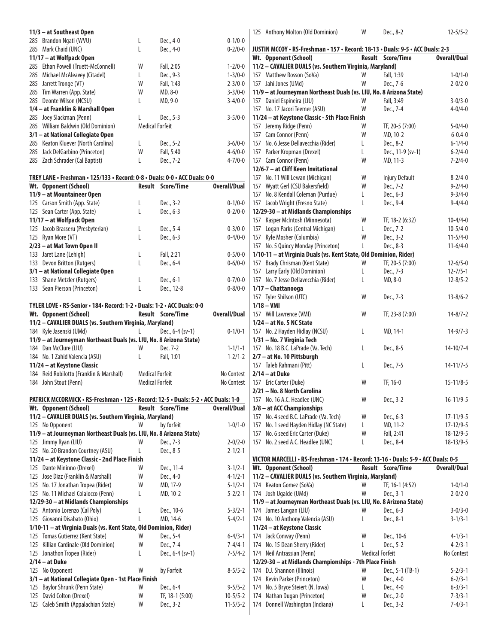|     |                                                                            |                        |                          | 0.4100        |
|-----|----------------------------------------------------------------------------|------------------------|--------------------------|---------------|
|     | 11/9 - at Mountaineer Open                                                 |                        |                          |               |
|     | Wt. Opponent (School)                                                      |                        | <b>Result</b> Score/Time | Overall/Dual  |
|     | TREY LANE • Freshman • 125/133 • Record: 0-8 • Duals: 0-0 • ACC Duals: 0-0 |                        |                          |               |
|     | 285 Zach Schrader (Cal Baptist)                                            | L                      | Dec., 7-2                | $4 - 7/0 - 0$ |
|     | 285 Jack DelGarbino (Princeton)                                            | W                      | Fall, 5:40               | $4 - 6/0 - 0$ |
|     | 285 Keaton Kluever (North Carolina)                                        | L                      | Dec., 5-2                | $3 - 6/0 - 0$ |
|     | 3/1 - at National Collegiate Open                                          |                        |                          |               |
|     | 285 William Baldwin (Old Dominion)                                         | <b>Medical Forfeit</b> |                          |               |
|     | 285 Joey Slackman (Penn)                                                   | L                      | Dec., 5-3                | $3 - 5/0 - 0$ |
|     | 1/4 – at Franklin & Marshall Open                                          |                        |                          |               |
|     | 285 Deonte Wilson (NCSU)                                                   | L                      | MD, 9-0                  | $3 - 4/0 - 0$ |
|     | 285 Tim Warren (App. State)                                                | W                      | MD, 8-0                  | $3 - 3/0 - 0$ |
| 285 | Jarrett Tronge (VT)                                                        | W                      | Fall, 1:43               | $2 - 3/0 - 0$ |
| 285 | Michael McAleavey (Citadel)                                                | L                      | Dec., 9-3                | $1 - 3/0 - 0$ |
|     | 285 Ethan Powell (Truett-McConnell)                                        | W                      | Fall, 2:05               | $1 - 2/0 - 0$ |
|     | 11/17 – at Wolfpack Open                                                   |                        |                          |               |
|     | 285 Mark Chaid (UNC)                                                       | L                      | Dec., 4-0                | $0 - 2/0 - 0$ |
| 285 | Brandon Ngati (WVU)                                                        | L                      | Dec., 4-0                | $0 - 1/0 - 0$ |
|     | 11/3 - at Southeast Open                                                   |                        |                          |               |

| 125 Carson Smith (App. State)     |   | Dec., 3-2  | $0 - 1/0 - 0$ |
|-----------------------------------|---|------------|---------------|
| 125 Sean Carter (App. State)      |   | Dec., 6-3  | $0 - 2/0 - 0$ |
| 11/17 – at Wolfpack Open          |   |            |               |
| 125 Jacob Brasseru (Presbyterian) | L | Dec., 5-4  | $0 - 3/0 - 0$ |
| 125 Ryan More (VT)                |   | Dec., 6-3  | $0 - 4/0 - 0$ |
| 2/23 - at Mat Town Open II        |   |            |               |
| 133 Jaret Lane (Lehigh)           |   | Fall, 2:21 | $0 - 5/0 - 0$ |
| 133 Devon Britton (Rutgers)       |   | Dec., 6-4  | $0 - 6/0 - 0$ |
| 3/1 – at National Collegiate Open |   |            |               |
| 133 Shane Metzler (Rutgers)       |   | Dec., 6-1  | $0 - 7/0 - 0$ |
| 133 Sean Pierson (Princeton)      |   | Dec., 12-8 | $0 - 8/0 - 0$ |

| TYLER LOVE • RS-Senior • 184• Record: 1-2 • Duals: 1-2 • ACC Duals: 0-0 |                        |                          |               |
|-------------------------------------------------------------------------|------------------------|--------------------------|---------------|
| Wt. Opponent (School)                                                   |                        | <b>Result</b> Score/Time | Overall/Dual  |
| 11/2 - CAVALIER DUALS (vs. Southern Virginia, Maryland)                 |                        |                          |               |
| 184 Kyle Jasenski (UMd)                                                 |                        | Dec., $6-4$ (sv-1)       | $0 - 1/0 - 1$ |
| 11/9 - at Journeyman Northeast Duals (vs. LIU, No. 8 Arizona State)     |                        |                          |               |
| 184 Dan McClure (LIU)                                                   | W                      | Dec. 7-2                 | $1 - 1/1 - 1$ |
| 184 No. 1 Zahid Valencia (ASU)                                          |                        | Fall, 1:01               | $1 - 2/1 - 2$ |
| 11/24 – at Keystone Classic                                             |                        |                          |               |
| 184 Reid Robilotto (Franklin & Marshall)                                | <b>Medical Forfeit</b> |                          | No Contest    |
| 184 John Stout (Penn)                                                   | <b>Medical Forfeit</b> |                          | No Contest    |

|     | PATRICK MCCORMICK • RS-Freshman • 125 • Record: 12-5 • Duals: 5-2 • ACC Duals: 1-0 |   |                          |                |
|-----|------------------------------------------------------------------------------------|---|--------------------------|----------------|
|     | Wt. Opponent (School)                                                              |   | <b>Result Score/Time</b> | Overall/Dual   |
|     | 11/2 - CAVALIER DUALS (vs. Southern Virginia, Maryland)                            |   |                          |                |
|     | 125 No Opponent                                                                    | W | by forfeit               | $1 - 0/1 - 0$  |
|     | 11/9 - at Journeyman Northeast Duals (vs. LIU, No. 8 Arizona State)                |   |                          |                |
|     | 125 Jimmy Ryan (LIU)                                                               | W | Dec., 7-3                | $2 - 0/2 - 0$  |
|     | 125 No. 20 Brandon Courtney (ASU)                                                  | L | Dec., 8-5                | $2 - 1/2 - 1$  |
|     | 11/24 - at Keystone Classic - 2nd Place Finish                                     |   |                          |                |
|     | 125 Dante Mininno (Drexel)                                                         | W | Dec., 11-4               | $3 - 1/2 - 1$  |
|     | 125 Jose Diaz (Franklin & Marshall)                                                | W | Dec., 4-0                | $4 - 1/2 - 1$  |
|     | 125 No. 17 Jonathan Tropea (Rider)                                                 | W | MD, 17-9                 | $5 - 1/2 - 1$  |
|     | 125 No. 11 Michael Colaiocco (Penn)                                                | L | MD, 10-2                 | $5 - 2/2 - 1$  |
|     | 12/29-30 - at Midlands Championships                                               |   |                          |                |
|     | 125 Antonio Lorenzo (Cal Poly)                                                     | L | Dec., 10-6               | $5 - 3/2 - 1$  |
|     | 125 Giovanni Disabato (Ohio)                                                       | L | MD, 14-6                 | $5 - 4/2 - 1$  |
|     | 1/10-11 - at Virginia Duals (vs. Kent State, Old Dominion, Rider)                  |   |                          |                |
|     | 125 Tomas Gutierrez (Kent State)                                                   | W | Dec., 5-4                | $6 - 4/3 - 1$  |
| 125 | Killian Cardinale (Old Dominion)                                                   | W | Dec., 7-4                | $7 - 4/4 - 1$  |
|     | 125 Jonathon Tropea (Rider)                                                        | L | Dec., 6-4 (sv-1)         | $7 - 5/4 - 2$  |
|     | $2/14 - at Duke$                                                                   |   |                          |                |
|     | 125 No Opponent                                                                    | W | by Forfeit               | $8 - 5/5 - 2$  |
|     | 3/1 - at National Collegiate Open - 1st Place Finish                               |   |                          |                |
|     | 125 Baylor Shrunk (Penn State)                                                     | W | Dec., 6-4                | $9 - 5/5 - 2$  |
|     | 125 David Colton (Drexel)                                                          | W | TF, 18-1 (5:00)          | $10 - 5/5 - 2$ |
|     | 125 Caleb Smith (Appalachian State)                                                | W | Dec., 3-2                | $11 - 5/5 - 2$ |
|     |                                                                                    |   |                          |                |

|                      | 125 Anthony Molton (Old Dominion)                                                 | W      | Dec., 8-2                | $12 - 5/5 - 2$                 |
|----------------------|-----------------------------------------------------------------------------------|--------|--------------------------|--------------------------------|
|                      |                                                                                   |        |                          |                                |
|                      | JUSTIN MCCOY · RS-Freshman · 157 · Record: 18-13 · Duals: 9-5 · ACC Duals: 2-3    |        |                          |                                |
|                      | Wt. Opponent (School)                                                             | Result | Score/Time               | <b>Overall/Dual</b>            |
|                      | 11/2 - CAVALIER DUALS (vs. Southern Virginia, Maryland)                           |        |                          |                                |
|                      | 157 Matthew Rosson (SoVa)                                                         | W      | Fall, 1:39               | $1 - 0/1 - 0$                  |
|                      | 157 Jahi Jones (UMd)                                                              | W      | Dec., 7-6                | $2 - 0/2 - 0$                  |
|                      | 11/9 - at Journeyman Northeast Duals (vs. LIU, No. 8 Arizona State)               | W      | Fall, 3:49               |                                |
|                      | 157 Daniel Espineira (LIU)<br>157 No. 17 Jacori Teemer (ASU)                      | W      | Dec., 7-4                | $3 - 0/3 - 0$<br>$4 - 0/4 - 0$ |
|                      | 11/24 - at Keystone Classic - 5th Place Finish                                    |        |                          |                                |
|                      | 157 Jeremy Ridge (Penn)                                                           | W      | TF, 20-5 (7:00)          | $5 - 0/4 - 0$                  |
|                      | 157 Cam Connor (Penn)                                                             | W      | MD, 10-2                 | $6 - 0.4 - 0$                  |
|                      | 157 No. 6 Jesse Dellavecchia (Rider)                                              | L      | Dec., 8-2                | $6 - 1/4 - 0$                  |
|                      | 157 Parker Kropman (Drexel)                                                       | L      | Dec., 11-9 (sv-1)        | $6 - 2/4 - 0$                  |
|                      | 157 Cam Connor (Penn)                                                             | W      | MD, 11-3                 | $7 - 2/4 - 0$                  |
|                      | 12/6-7 - at Cliff Keen Invitational                                               |        |                          |                                |
|                      | 157 No. 11 Will Lewan (Michigan)                                                  | W      | <b>Injury Default</b>    | $8 - 2/4 - 0$                  |
| $\ddot{\phantom{0}}$ | 157 Wyatt Gerl (CSU Bakersfield)                                                  | W      | Dec., 7-2                | $9 - 2/4 - 0$                  |
|                      | 157 No. 8 Kendall Coleman (Purdue)                                                | L      | Dec., 6-3                | $9 - 3/4 - 0$                  |
| $\overline{a}$       | 157 Jacob Wright (Fresno State)                                                   | L      | Dec., 9-4                | $9 - 4/4 - 0$                  |
|                      | 12/29-30 - at Midlands Championships                                              |        |                          |                                |
|                      | 157 Kasper McIntosh (Minnesota)                                                   | W      | TF, 18-2 (6:32)          | $10 - 4/4 - 0$                 |
| $\overline{a}$       | 157 Logan Parks (Central Michigan)                                                | L      | Dec., 7-2                | $10 - 5/4 - 0$                 |
| $\overline{a}$       | 157 Kyle Mosher (Columbia)                                                        | W      | Dec., 3-2                | $11 - 5/4 - 0$                 |
|                      | 157 No. 5 Quincy Monday (Princeton)                                               | L      | Dec., 8-3                | $11-6/4-0$                     |
|                      | 1/10-11 - at Virginia Duals (vs. Kent State, Old Dominion, Rider)                 |        |                          |                                |
| $\overline{a}$       | 157 Brady Chrisman (Kent State)                                                   | W      | TF, 20-5 (7:00)          | $12 - 6/5 - 0$                 |
|                      | 157 Larry Early (Old Dominion)                                                    | L      | Dec., 7-3                | $12 - 7/5 - 1$                 |
|                      | 157 No. 7 Jesse Dellavecchia (Rider)                                              | L      | MD, 8-0                  | $12 - 8/5 - 2$                 |
|                      | 1/17 - Chattanooga                                                                |        |                          |                                |
|                      | 157 Tyler Shilson (UTC)                                                           | W      | Dec., 7-3                | $13 - 8/6 - 2$                 |
|                      | $1/18 - VMI$                                                                      |        |                          |                                |
|                      | 157 Will Lawrence (VMI)                                                           | W      | TF, 23-8 (7:00)          | $14 - 8/7 - 2$                 |
|                      | $1/24$ - at No. 5 NC State                                                        |        |                          |                                |
|                      | 157 No. 2 Hayden Hidlay (NCSU)                                                    | L      | MD, 14-1                 | $14-9/7-3$                     |
|                      | 1/31 - No. 7 Virginia Tech                                                        |        |                          |                                |
|                      | 157 No. 18 B.C. LaPrade (Va. Tech)                                                | L      | Dec., 8-5                | $14 - 10/7 - 4$                |
|                      | 2/7 - at No. 10 Pittsburgh                                                        | L      |                          | $14 - 11/7 - 5$                |
|                      | 157 Taleb Rahmani (Pitt)<br>$2/14 - at Duke$                                      |        | Dec., 7-5                |                                |
|                      | 157 Eric Carter (Duke)                                                            | W      | TF, 16-0                 | $15 - 11/8 - 5$                |
|                      | 2/21 - No. 8 North Carolina                                                       |        |                          |                                |
|                      | 157 No. 16 A.C. Headlee (UNC)                                                     | W      | Dec., 3-2                | $16-11/9-5$                    |
|                      | 3/8 - at ACC Championships                                                        |        |                          |                                |
|                      | 157 No. 4 seed B.C. LaPrade (Va. Tech)                                            | W      | Dec., 6-3                | $17 - 11/9 - 5$                |
|                      | 157 No. 1 seed Hayden Hidlay (NC State)                                           | L      | MD, 11-2                 | $17 - 12/9 - 5$                |
|                      | 157 No. 6 seed Eric Carter (Duke)                                                 | W      | Fall, 2:41               | $18 - 12/9 - 5$                |
|                      | 157 No. 2 seed A.C. Headlee (UNC)                                                 | L      | Dec., 8-4                | $18 - 13/9 - 5$                |
|                      |                                                                                   |        |                          |                                |
|                      | VICTOR MARCELLI . RS-Freshman . 174 . Record: 13-16 . Duals: 5-9 . ACC Duals: 0-5 |        |                          |                                |
|                      | Wt. Opponent (School)                                                             |        | <b>Result Score/Time</b> | <b>Overall/Dual</b>            |
|                      | 11/2 - CAVALIER DUALS (vs. Southern Virginia, Maryland)                           |        |                          |                                |
|                      | 174 Keaton Gomez (SoVa)                                                           | W      | TF, 16-1 (4:52)          | $1 - 0/1 - 0$                  |
|                      | 174 Josh Ugalde (UMd)                                                             | W      | Dec., 3-1                | $2 - 0/2 - 0$                  |
|                      | 11/9 - at Journeyman Northeast Duals (vs. LIU, No. 8 Arizona State)               |        |                          |                                |
|                      | 174 James Langan (LIU)                                                            | W      | Dec., 6-3                | $3 - 0/3 - 0$                  |
|                      | 174 No. 10 Anthony Valencia (ASU)                                                 | L      | Dec., 8-1                | $3 - 1/3 - 1$                  |
|                      | 11/24 - at Keystone Classic                                                       |        |                          |                                |
|                      | 174 Jack Conway (Penn)                                                            | W      | Dec., 10-6               | $4 - 1/3 - 1$                  |
|                      | 174 No. 15 Dean Sherry (Rider)                                                    | L      | Dec., 5-2                | $4 - 2/3 - 1$                  |
|                      | 174 Neil Antrassian (Penn)                                                        |        | <b>Medical Forfeit</b>   | No Contest                     |
|                      | 12/29-30 - at Midlands Championships - 7th Place Finish                           |        |                          |                                |
|                      | 174 D.J. Shannon (Illinois)                                                       | W      | Dec., 5-1 (TB-1)         | $5 - 2/3 - 1$                  |
|                      | 174 Kevin Parker (Princeton)                                                      | W      | Dec., 4-0                | $6 - 2/3 - 1$                  |
|                      | 174 No. 5 Bryce Steiert (N. Iowa)                                                 | L      | Dec., 4-0                | $6 - 3/3 - 1$                  |
|                      | 174 Nathan Dugan (Princeton)                                                      | W      | Dec., 2-0                | $7 - 3/3 - 1$                  |
|                      | 174 Donnell Washington (Indiana)                                                  | L      | Dec., 3-2                | $7 - 4/3 - 1$                  |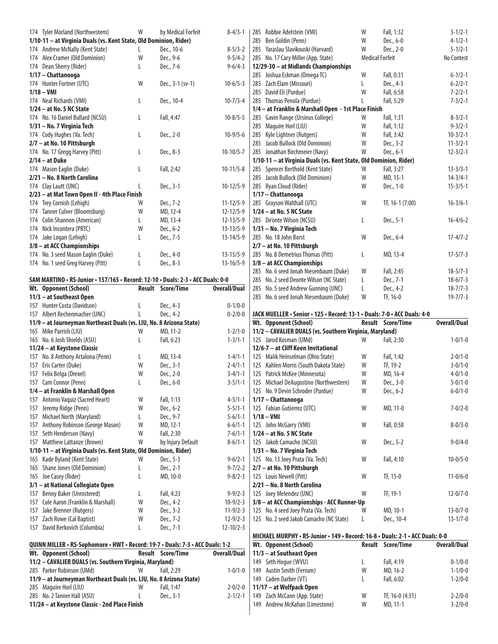| 174 Tyler Morland (Northwestern)                                                | W | by Medical Forfeit       | $8 - 4/3 - 1$       | 285 Robbie Adelstein (VMI)                                                    | W                      | Fall, 1:32        | $3 - 1/2 - 1$       |
|---------------------------------------------------------------------------------|---|--------------------------|---------------------|-------------------------------------------------------------------------------|------------------------|-------------------|---------------------|
| 1/10-11 - at Virginia Duals (vs. Kent State, Old Dominion, Rider)               |   |                          |                     | 285 Ben Goldin (Penn)                                                         | W                      | Dec., 6-0         | $4 - 1/2 - 1$       |
| 174 Andrew McNally (Kent State)                                                 | L | Dec., 10-6               | $8 - 5/3 - 2$       | 285 Yaraslau Slavikouski (Harvard)                                            | W                      | Dec., 2-0         | $5 - 1/2 - 1$       |
| 174 Alex Cramer (Old Dominion)                                                  | W | Dec., 9-6                | $9 - 5/4 - 2$       | 285 No. 17 Cary Miller (App. State)                                           | <b>Medical Forfeit</b> |                   | No Contest          |
| 174 Dean Sherry (Rider)                                                         | L | Dec., 7-6                | $9 - 6/4 - 3$       | 12/29-30 - at Midlands Championships                                          |                        |                   |                     |
| 1/17 - Chattanooga                                                              |   |                          |                     | 285 Joshua Eckman (Omega TC)                                                  | W                      | Fall, 0:31        | $6 - 1/2 - 1$       |
| 174 Hunter Fortner (UTC)                                                        | W | Dec., 3-1 (sv-1)         | $10-6/5-3$          | 285 Zach Elam (Missouri)                                                      | L                      | Dec., 4-3         | $6 - 2/2 - 1$       |
| $1/18 - VMI$                                                                    |   |                          |                     | 285 David Eli (Purdue)                                                        | W                      | Fall, 6:58        | $7 - 2/2 - 1$       |
|                                                                                 |   |                          |                     |                                                                               | L                      | Fall, 5:29        |                     |
| 174 Neal Richards (VMI)                                                         | L | Dec., 10-4               | $10 - 7/5 - 4$      | 285 Thomas Penola (Purdue)                                                    |                        |                   | $7 - 3/2 - 1$       |
| $1/24$ – at No. 5 NC State                                                      |   |                          |                     | 1/4 - at Franklin & Marshall Open - 1st Place Finish                          |                        |                   |                     |
| 174 No. 16 Daniel Bullard (NCSU)                                                | L | Fall, 4:47               | $10 - 8/5 - 5$      | 285 Gavin Range (Ursinus College)                                             | W                      | Fall, 1:31        | $8 - 3/2 - 1$       |
| 1/31 - No. 7 Virginia Tech                                                      |   |                          |                     | 285 Maguire Horl (LIU)                                                        | W                      | Fall, 1:12        | $9 - 3/2 - 1$       |
| 174 Cody Hughes (Va. Tech)                                                      | L | Dec., 2-0                | $10-9/5-6$          | 285 Kyle Lightner (Rutgers)                                                   | W                      | Fall, 3:42        | $10 - 3/2 - 1$      |
| 2/7 - at No. 10 Pittsburgh                                                      |   |                          |                     | 285 Jacob Bullock (Old Dominion)                                              | W                      | Dec., 3-2         | $11 - 3/2 - 1$      |
| 174 No. 17 Gregg Harvey (Pitt)                                                  | L | Dec., 8-3                | $10-10/5-7$         | 285 Jonathan Birchmeier (Navy)                                                | W                      | Dec., 6-1         | $12 - 3/2 - 1$      |
| $2/14$ – at Duke                                                                |   |                          |                     | 1/10-11 - at Virginia Duals (vs. Kent State, Old Dominion, Rider)             |                        |                   |                     |
| 174 Mason Eaglin (Duke)                                                         | L | Fall, 2:42               | $10-11/5-8$         | 285 Spencer Berthold (Kent State)                                             | W                      | Fall, 3:27        | $13 - 3/3 - 1$      |
| 2/21 - No. 8 North Carolina                                                     |   |                          |                     | 285 Jacob Bullock (Old Dominion)                                              | W                      | MD, 15-1          | $14 - 3/4 - 1$      |
| 174 Clay Lautt (UNC)                                                            | L | Dec., 3-1                | $10-12/5-9$         | 285 Ryan Cloud (Rider)                                                        | W                      | Dec., 1-0         | $15 - 3/5 - 1$      |
| 2/23 - at Mat Town Open II - 4th Place Finish                                   |   |                          |                     | 1/17 - Chattanooga                                                            |                        |                   |                     |
| 174 Trey Cornish (Lehigh)                                                       | W | Dec., 7-2                | $11 - 12/5 - 9$     | 285 Grayson Walthall (UTC)                                                    | W                      | TF, 16-1 (7:00)   | $16 - 3/6 - 1$      |
|                                                                                 | W |                          |                     |                                                                               |                        |                   |                     |
| 174 Tanner Culver (Bloomsburg)                                                  |   | MD, 12-4                 | $12 - 12/5 - 9$     | $1/24$ – at No. 5 NC State                                                    |                        |                   |                     |
| 174 Colin Shannon (American)                                                    | L | MD, 13-4                 | $12 - 13/5 - 9$     | 285 De'onte Wilson (NCSU)                                                     | L                      | Dec., 5-1         | $16 - 4/6 - 2$      |
| 174 Nick Incontera (PRTC)                                                       | W | Dec., 6-2                | $13 - 13/5 - 9$     | 1/31 – No. 7 Virginia Tech                                                    |                        |                   |                     |
| 174 Jake Logan (Lehigh)                                                         | L | Dec., 7-5                | $13 - 14/5 - 9$     | 285 No. 18 John Borst                                                         | W                      | Dec., 6-4         | $17 - 4/7 - 2$      |
| 3/8 - at ACC Championships                                                      |   |                          |                     | 2/7 - at No. 10 Pittsburgh                                                    |                        |                   |                     |
| 174 No. 3 seed Mason Eaglin (Duke)                                              | L | Dec., 4-0                | $13 - 15/5 - 9$     | 285 No. 8 Demetrius Thomas (Pitt)                                             | L                      | MD, 13-4          | $17 - 5/7 - 3$      |
| 174 No. 1 seed Greg Harvey (Pitt)                                               | L | Dec., 8-3                | $13 - 16/5 - 9$     | 3/8 - at ACC Championships                                                    |                        |                   |                     |
|                                                                                 |   |                          |                     | 285 No. 6 seed Jonah Niesenbaum (Duke)                                        | W                      | Fall, 2:45        | $18 - 5/7 - 3$      |
| SAM MARTINO . RS-Junior . 157/165 . Record: 12-10 . Duals: 2-3 . ACC Duals: 0-0 |   |                          |                     | 285 No. 2 seed Deonte Wilson (NC State)                                       | L                      | Dec., 7-1         | $18-6/7-3$          |
| Wt. Opponent (School)                                                           |   | <b>Result Score/Time</b> | <b>Overall/Dual</b> | 285 No. 5 seed Andrew Gunning (UNC)                                           | L                      | Dec., 4-2         | $18 - 7/7 - 3$      |
| 11/3 - at Southeast Open                                                        |   |                          |                     | 285 No. 6 seed Jonah Niesenbaum (Duke)                                        | W                      | TF, 16-0          | $19 - 7/7 - 3$      |
| 157 Hunter Costa (Davidson)                                                     | L | Dec., 4-3                | $0 - 1/0 - 0$       |                                                                               |                        |                   |                     |
| 157 Albert Rechenmacher (UNC)                                                   |   |                          |                     | JACK MUELLER · Senior · 125 · Record: 13-1 · Duals: 7-0 · ACC Duals: 4-0      |                        |                   |                     |
|                                                                                 | L | Dec., 4-2                | $0 - 2/0 - 0$       |                                                                               |                        |                   |                     |
|                                                                                 |   |                          |                     |                                                                               |                        |                   |                     |
| 11/9 - at Journeyman Northeast Duals (vs. LIU, No. 8 Arizona State)             |   |                          |                     | Wt. Opponent (School)                                                         |                        | Result Score/Time | <b>Overall/Dual</b> |
| 165 Mike Parrish (LIU)                                                          | W | MD, 11-2                 | $1 - 2/1 - 0$       | 11/2 - CAVALIER DUALS (vs. Southern Virginia, Maryland)                       |                        |                   |                     |
| 165 No. 6 Josh Shields (ASU)                                                    | L | Fall, 6:23               | $1 - 3/1 - 1$       | 125 Jarod Kosman (UMd)                                                        | W                      | Fall, 2:30        | $1 - 0/1 - 0$       |
| 11/24 - at Keystone Classic                                                     |   |                          |                     | 12/6-7 - at Cliff Keen Invitational                                           |                        |                   |                     |
| 157 No. 8 Anthony Artalona (Penn)                                               | L | MD, 13-4                 | $1 - 4/1 - 1$       | 125 Malik Heinselman (Ohio State)                                             | W                      | Fall, 1:42        | $2 - 0/1 - 0$       |
| 157 Eric Carter (Duke)                                                          | W |                          | $2 - 4/1 - 1$       | 125 Kahlen Morris (South Dakota State)                                        | W                      | TF, 19-2          | $3 - 0/1 - 0$       |
|                                                                                 |   | Dec., 3-1                |                     |                                                                               |                        |                   |                     |
| 157 Felix Belga (Drexel)                                                        | W | Dec., 2-0                | $3-4/1-1$           | 125 Patrick McKee (Minnesota)                                                 | W                      | MD, 16-4          | $4 - 0/1 - 0$       |
| 157 Cam Connor (Penn)                                                           | L | Dec., 6-0                | $3 - 5/1 - 1$       | 125 Michael DeAugostino (Northwestern)                                        | W                      | Dec., 3-0         | $5 - 0/1 - 0$       |
| 1/4 - at Franklin & Marshall Open                                               |   |                          |                     | 125 No. 9 Devin Schroder (Purdue)                                             | W                      | Dec., 6-2         | $6 - 0/1 - 0$       |
| 157 Antonio Vaquiz (Sacred Heart)                                               | W | Fall, 1:13               | $4 - 5/1 - 1$       | 1/17 - Chattanooga                                                            |                        |                   |                     |
| 157 Jeremy Ridge (Penn)                                                         | W | Dec., 6-2                | $5 - 5/1 - 1$       | 125 Fabian Gutierrez (UTC)                                                    | W                      | MD, 11-0          | $7 - 0/2 - 0$       |
| 157 Michael North (Maryland)                                                    | L | Dec., 9-7                | $5 - 6/1 - 1$       | $1/18 - VMI$                                                                  |                        |                   |                     |
| 157 Anthony Robinson (George Mason)                                             | W | MD, 12-1                 | $6 - 6/1 - 1$       | 125 John McGarry (VMI)                                                        | W                      | Fall, 0:58        | $8 - 0/3 - 0$       |
| 157 Seth Henderson (Navy)                                                       | W | Fall, 2:30               | $7 - 6/1 - 1$       | 1/24 - at No. 5 NC State                                                      |                        |                   |                     |
| 157 Matthew Lattanze (Brown)                                                    | W | by Injury Default        | $8-6/1-1$           | 125 Jakob Camacho (NCSU)                                                      | W                      | Dec., 5-2         | $9 - 0/4 - 0$       |
| 1/10-11 - at Virginia Duals (vs. Kent State, Old Dominion, Rider)               |   |                          |                     | 1/31 – No. 7 Virginia Tech                                                    |                        |                   |                     |
| 165 Kade Byland (Kent State)                                                    | W | Dec., 5-3                | $9 - 6/2 - 1$       | 125 No. 13 Joey Prata (Va. Tech)                                              | W                      | Fall, 4:10        | $10 - 0/5 - 0$      |
| 165 Shane Jones (Old Dominion)                                                  | L | Dec., 2-1                | $9 - 7/2 - 2$       |                                                                               |                        |                   |                     |
|                                                                                 |   |                          |                     | 2/7 - at No. 10 Pittsburgh                                                    |                        |                   |                     |
| 165 Joe Casey (Rider)                                                           | L | MD, 10-0                 | $9 - 8/2 - 3$       | 125 Louis Newell (Pitt)                                                       | W                      | TF, 15-0          | $11 - 0/6 - 0$      |
| 3/1 - at National Collegiate Open                                               |   |                          |                     | 2/21 - No. 8 North Carolina                                                   |                        |                   |                     |
| 157 Benny Baker (Unrostered)                                                    | L | Fall, 4:23               | $9 - 9/2 - 3$       | 125 Joey Melendez (UNC)                                                       | W                      | TF, 19-1          | $12 - 0/7 - 0$      |
| 157 Cole Aaron (Franklin & Marshall)                                            | W | Dec., 4-2                | $10-9/2-3$          | 3/8 - at ACC Championships - ACC Runner-Up                                    |                        |                   |                     |
| 157 Jake Brenner (Rutgers)                                                      | W | Dec., 3-2                | $11-9/2-3$          | 125 No. 4 seed Joey Prata (Va. Tech)                                          | W                      | MD, 10-1          | $13 - 0/7 - 0$      |
| 157 Zach Rowe (Cal Baptist)                                                     | W | Dec., 7-2                | $12 - 9/2 - 3$      | 125 No. 2 seed Jakob Camacho (NC State)                                       | L                      | Dec., 10-4        | $13 - 1/7 - 0$      |
| 157 David Berkovich (Columbia)                                                  | L | Dec., 7-3                | $12 - 10/2 - 3$     |                                                                               |                        |                   |                     |
|                                                                                 |   |                          |                     | MICHAEL MURPHY · RS-Junior · 149 · Record: 16-8 · Duals: 2-1 · ACC Duals: 0-0 |                        |                   |                     |
| QUINN MILLER • RS-Sophomore • HWT • Record: 19-7 • Duals: 7-3 • ACC Duals: 1-2  |   |                          |                     | Wt. Opponent (School)                                                         |                        | Result Score/Time | <b>Overall/Dual</b> |
| Wt. Opponent (School)                                                           |   | <b>Result</b> Score/Time | <b>Overall/Dual</b> | 11/3 - at Southeast Open                                                      |                        |                   |                     |
| 11/2 - CAVALIER DUALS (vs. Southern Virginia, Maryland)                         |   |                          |                     | 149 Seth Hogue (WVU)                                                          | L                      | Fall, 4:19        | $0 - 1/0 - 0$       |
| 285 Parker Robinson (UMd)                                                       | W | Fall, 2:29               | $1 - 0/1 - 0$       |                                                                               | W                      | MD, 16-2          | $1 - 1/0 - 0$       |
|                                                                                 |   |                          |                     | 149 Austin Smith (Ferrum)                                                     |                        |                   |                     |
| 11/9 - at Journeyman Northeast Duals (vs. LIU, No. 8 Arizona State)             |   |                          |                     | 149 Caden Darber (VT)                                                         | L                      | Fall, 6:02        | $1 - 2/0 - 0$       |
| 285 Maguire Horl (LIU)                                                          | W | Fall, 1:47               | $2 - 0/2 - 0$       | 11/17 - at Wolfpack Open                                                      |                        |                   |                     |
| 285 No. 2 Tanner Hall (ASU)                                                     | L | Dec., 3-1                | $2 - 1/2 - 1$       | 149 Zach McCann (App. State)                                                  | W                      | TF, 16-0 (4:31)   | $2 - 2/0 - 0$       |
| 11/24 - at Keystone Classic - 2nd Place Finish                                  |   |                          |                     | 149 Andrew McKahan (Limestone)                                                | W                      | MD, 11-1          | $3 - 2/0 - 0$       |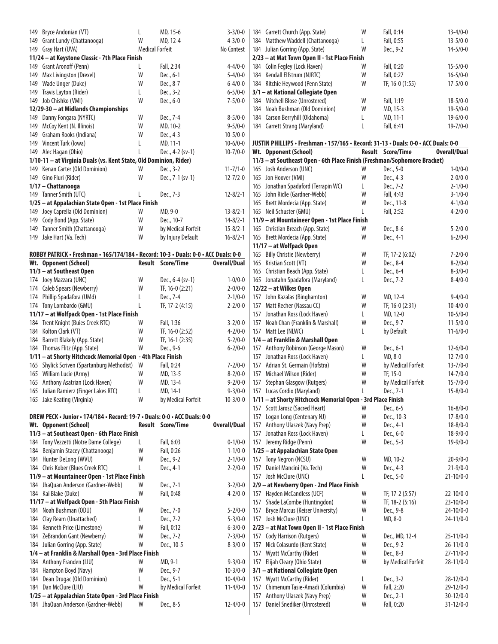| 149 Bryce Andonian (VT)                                                                    | L                      | MD, 15-6               | $3 - 3/0 - 0$                   |
|--------------------------------------------------------------------------------------------|------------------------|------------------------|---------------------------------|
| 149 Grant Lundy (Chattanooga)                                                              | W                      | MD, 12-4               | $4 - 3/0 - 0$                   |
| 149 Gray Hart (UVA)                                                                        | <b>Medical Forfeit</b> |                        | No Contest                      |
| 11/24 - at Keystone Classic - 7th Place Finish                                             |                        |                        |                                 |
| 149 Grant Aronoff (Penn)                                                                   | L                      | Fall, 2:34             | $4 - 4/0 - 0$                   |
| 149 Max Livingston (Drexel)                                                                | W                      | Dec., 6-1              | $5 - 4/0 - 0$                   |
| 149 Wade Unger (Duke)                                                                      | W                      | Dec., 8-7              | $6 - 4/0 - 0$                   |
| 149 Travis Layton (Rider)                                                                  | L                      | Dec., 3-2              | $6 - 5/0 - 0$                   |
| 149 Job Chishko (VMI)                                                                      | W                      | Dec., 6-0              | $7 - 5/0 - 0$                   |
| 12/29-30 - at Midlands Championships                                                       |                        |                        |                                 |
| 149 Danny Fongara (NYRTC)<br>149 McCoy Kent (N. Illinois)                                  | W<br>W                 | Dec., 7-4              | $8 - 5/0 - 0$                   |
| 149 Graham Rooks (Indiana)                                                                 | W                      | MD, 10-2<br>Dec., 4-3  | $9 - 5/0 - 0$<br>$10 - 5/0 - 0$ |
| 149 Vincent Turk (Iowa)                                                                    | L                      | MD, 11-1               | $10 - 6/0 - 0$                  |
| 149 Alec Hagan (Ohio)                                                                      | L                      | Dec., 4-2 (sv-1)       | $10 - 7/0 - 0$                  |
| 1/10-11 - at Virginia Duals (vs. Kent State, Old Dominion, Rider)                          |                        |                        |                                 |
| 149 Kenan Carter (Old Dominion)                                                            | W                      | Dec., 3-2              | $11 - 7/1 - 0$                  |
| 149 Gino Fluri (Rider)                                                                     | W                      | Dec., 7-1 (sv-1)       | $12 - 7/2 - 0$                  |
| 1/17 - Chattanooga                                                                         |                        |                        |                                 |
| 149 Tanner Smith (UTC)                                                                     | L                      | Dec., 7-3              | $12 - 8/2 - 1$                  |
| 1/25 - at Appalachian State Open - 1st Place Finish                                        |                        |                        |                                 |
| 149 Joey Caprella (Old Dominion)                                                           | W                      | MD, 9-0                | $13 - 8/2 - 1$                  |
| 149 Cody Bond (App. State)                                                                 | W                      | Dec., 10-7             | $14 - 8/2 - 1$                  |
| 149 Tanner Smith (Chattanooga)                                                             | W                      | by Medical Forfeit     | $15 - 8/2 - 1$                  |
| 149 Jake Hart (Va. Tech)                                                                   | W                      | by Injury Default      | $16 - 8/2 - 1$                  |
|                                                                                            |                        |                        |                                 |
| ROBBY PATRICK · Freshman · 165/174/184 · Record: 10-3 · Duals: 0-0 · ACC Duals: 0-0        |                        |                        |                                 |
| Wt. Opponent (School)                                                                      | <b>Result</b>          | <b>Score/Time</b>      | <b>Overall/Dual</b>             |
| 11/3 - at Southeast Open                                                                   |                        |                        |                                 |
| 174 Joey Mazzara (UNC)                                                                     | W                      | Dec., 6-4 (sv-1)       | $1 - 0/0 - 0$                   |
| 174 Caleb Spears (Newberry)                                                                | W                      | TF, 16-0 (2:21)        | $2 - 0/0 - 0$                   |
| 174 Phillip Spadafora (UMd)                                                                | L<br>L                 | Dec., 7-4              | $2 - 1/0 - 0$                   |
| 174 Tony Lombardo (GMU)<br>11/17 - at Wolfpack Open - 1st Place Finish                     |                        | TF, 17-2 (4:15)        | $2 - 2/0 - 0$                   |
|                                                                                            |                        |                        |                                 |
|                                                                                            |                        |                        |                                 |
| 184 Trent Knight (Buies Creek RTC)                                                         | W                      | Fall, 1:36             | $3 - 2/0 - 0$                   |
| 184 Kolton Clark (VT)                                                                      | W                      | TF, 16-0 (2:52)        | $4 - 2/0 - 0$                   |
| 184 Barrett Blakely (App. State)                                                           | W                      | TF, 16-1 (2:35)        | $5 - 2/0 - 0$                   |
| 184 Thomas Flitz (App. State)                                                              | W                      | Dec., 9-6              | $6 - 2/0 - 0$                   |
| 1/11 - at Shorty Hitchcock Memorial Open - 4th Place Finish                                | W                      |                        |                                 |
| 165 Shylick Scriven (Spartanburg Methodist)                                                | W                      | Fall, 0:24<br>MD, 13-5 | $7 - 2/0 - 0$<br>$8 - 2/0 - 0$  |
| 165 William Lucie (Army)<br>165 Anthony Asatrian (Lock Haven)                              | W                      | MD, 13-4               | $9 - 2/0 - 0$                   |
| 165 Julian Ramierz (Finger Lakes RTC)                                                      | L                      | MD, 14-1               | $9 - 3/0 - 0$                   |
| 165 Jake Keating (Virginia)                                                                | W                      | by Medical Forfeit     | $10 - 3/0 - 0$                  |
|                                                                                            |                        |                        |                                 |
| DREW PECK · Junior · 174/184 · Record: 19-7 · Duals: 0-0 · ACC Duals: 0-0                  |                        |                        |                                 |
| Wt. Opponent (School)                                                                      | Result                 | <b>Score/Time</b>      | Overall/Dual                    |
| 11/3 - at Southeast Open - 6th Place Finish                                                |                        |                        |                                 |
| 184 Tony Vezzetti (Notre Dame College)                                                     | L                      | Fall, 6:03             | $0 - 1/0 - 0$                   |
| 184 Benjamin Stacey (Chattanooga)                                                          | W                      | Fall, 0:26             | $1 - 1/0 - 0$                   |
| 184 Hunter DeLong (WVU)                                                                    | W                      | Dec., 9-2              | $2 - 1/0 - 0$                   |
| 184 Chris Kober (Blues Creek RTC)                                                          | L                      | Dec., 4-1              | $2 - 2/0 - 0$                   |
| 11/9 - at Mountaineer Open - 1st Place Finish                                              |                        |                        |                                 |
| 184 JhaQuan Anderson (Gardner-Webb)                                                        | W                      | Dec., 7-1              | $3 - 2/0 - 0$                   |
| 184 Kai Blake (Duke)                                                                       | W                      | Fall, 0:48             | $4 - 2/0 - 0$                   |
| 11/17 - at Wolfpack Open - 5th Place Finish                                                | W                      |                        |                                 |
| 184 Noah Bushman (ODU)<br>184 Clay Ream (Unattached)                                       | L                      | Dec., 7-0<br>Dec., 7-2 | $5 - 2/0 - 0$<br>$5 - 3/0 - 0$  |
| 184 Kenneth Price (Limestone)                                                              | W                      | Fall, 0:12             | $6 - 3/0 - 0$                   |
| 184 ZeBrandon Gant (Newberry)                                                              | W                      | Dec., 7-2              | 7-3/0-0                         |
| 184 Julian Gorring (App. State)                                                            | W                      | Dec., 10-5             | $8 - 3/0 - 0$                   |
| 1/4 - at Franklin & Marshall Open - 3rd Place Finish                                       |                        |                        |                                 |
| 184 Anthony Franden (LIU)                                                                  | W                      | MD, 9-1                | $9 - 3/0 - 0$                   |
| 184 Hampton Boyd (Navy)                                                                    | W                      | Dec., 9-7              | $10 - 3/0 - 0$                  |
| 184 Dean Drugac (Old Dominion)                                                             | L                      | Dec., 5-1              | $10 - 4/0 - 0$                  |
| 184 Dan McClure (LIU)                                                                      | W                      | by Medical Forfeit     | $11 - 4/0 - 0$                  |
| 1/25 - at Appalachian State Open - 3rd Place Finish<br>184 JhaQuan Anderson (Gardner-Webb) | W                      | Dec., 8-5              | $12 - 4/0 - 0$                  |

| 184 Garrett Church (App. State)                                                    | W | Fall, 0:14               | $13 - 4/0 - 0$      |
|------------------------------------------------------------------------------------|---|--------------------------|---------------------|
| 184 Matthew Waddell (Chattanooga)                                                  | L | Fall, 0:55               | $13 - 5/0 - 0$      |
| 184 Julian Gorring (App. State)                                                    | W | Dec., 9-2                | $14 - 5/0 - 0$      |
| 2/23 - at Mat Town Open II - 1st Place Finish                                      |   |                          |                     |
| 184 Colin Fegley (Lock Haven)                                                      | W | Fall, 0:20               | $15 - 5/0 - 0$      |
| 184 Kendall Elfstrum (NJRTC)                                                       | W | Fall, 0:27               | $16 - 5/0 - 0$      |
| 184 Ritchie Heywood (Penn State)                                                   | W | TF, 16-0 (1:55)          | $17 - 5/0 - 0$      |
| 3/1 - at National Collegiate Open                                                  |   |                          |                     |
| 184 Mitchell Blose (Unrostered)                                                    | W | Fall, 1:19               | $18 - 5/0 - 0$      |
| 184 Noah Bushman (Old Dominion)                                                    | W | MD, 15-3                 | $19 - 5/0 - 0$      |
| 184 Carson Berryhill (Oklahoma)                                                    | L | MD, 11-1                 | $19-6/0-0$          |
| 184 Garrett Strang (Maryland)                                                      | L | Fall, 6:41               | $19 - 7/0 - 0$      |
|                                                                                    |   |                          |                     |
| JUSTIN PHILLIPS • Freshman • 157/165 • Record: 31-13 • Duals: 0-0 • ACC Duals: 0-0 |   |                          |                     |
| Wt. Opponent (School)                                                              |   | <b>Result Score/Time</b> | <b>Overall/Dual</b> |
| 11/3 - at Southeast Open - 6th Place Finish (Freshman/Sophomore Bracket)           |   |                          |                     |
|                                                                                    | W | Dec., 5-0                |                     |
| 165 Josh Anderson (UNC)                                                            | W |                          | $1 - 0/0 - 0$       |
| 165 Jon Hoover (VMI)                                                               |   | Dec., 4-3                | $2 - 0/0 - 0$       |
| 165 Jonathan Spadaford (Terrapin WC)                                               | L | Dec., 7-2                | $2 - 1/0 - 0$       |
| 165 John Ridle (Gardner-Webb)                                                      | W | Fall, 4:43               | $3 - 1/0 - 0$       |
| 165 Brett Mordecia (App. State)                                                    | W | Dec., 11-8               | $4 - 1/0 - 0$       |
| 165 Neil Schuster (GMU)                                                            | L | Fall, 2:52               | $4 - 2/0 - 0$       |
| 11/9 - at Mountaineer Open - 1st Place Finish                                      |   |                          |                     |
| 165 Christian Breach (App. State)                                                  | W | Dec., 8-6                | $5 - 2/0 - 0$       |
| 165 Brett Mordecia (App. State)                                                    | W | Dec., 4-1                | $6 - 2/0 - 0$       |
| 11/17 - at Wolfpack Open                                                           |   |                          |                     |
| 165 Billy Christie (Newberry)                                                      | W | TF, 17-2 (6:02)          | $7 - 2/0 - 0$       |
| 165 Kristian Scott (VT)                                                            | W | Dec., 8-4                | $8 - 2/0 - 0$       |
| 165 Christian Beach (App. State)                                                   | L | Dec., 6-4                | $8 - 3/0 - 0$       |
| 165 Jonatahn Spadafora (Maryland)                                                  | L | Dec., 7-2                | $8 - 4/0 - 0$       |
| 12/22 - at Wilkes Open                                                             |   |                          |                     |
| 157 John Kazalas (Binghamton)                                                      | W | MD, 12-4                 | $9 - 4/0 - 0$       |
| 157 Matt Recher (Nassau CC)                                                        | W | TF, 16-0 (2:31)          | $10 - 4/0 - 0$      |
| 157 Jonathan Ross (Lock Haven)                                                     | L | MD, 12-0                 | $10 - 5/0 - 0$      |
| 157 Noah Chan (Franklin & Marshall)                                                | W | Dec., 9-7                | $11 - 5/0 - 0$      |
| 157 Matt Lee (NLWC)                                                                | L | by Default               | $11-6/0-0$          |
| 1/4 - at Franklin & Marshall Open                                                  |   |                          |                     |
| 157 Anthony Robinson (George Mason)                                                | W | Dec., 6-1                |                     |
|                                                                                    |   |                          | $12 - 6/0 - 0$      |
| 157 Jonathan Ross (Lock Haven)                                                     | L | MD, 8-0                  | $12 - 7/0 - 0$      |
| 157 Adrian St. Germain (Hofstra)                                                   | W | by Medical Forfeit       | $13 - 7/0 - 0$      |
| 157 Michael Wilson (Rider)                                                         | W | TF, 15-0                 | $14 - 7/0 - 0$      |
| 157<br>Stephan Glasgow (Rutgers)                                                   | W | by Medical Forfeit       | $15 - 7/0 - 0$      |
| 157<br>Lucas Cordio (Maryland)                                                     | L | Dec., 7-1                | $15 - 8/0 - 0$      |
| 1/11 - at Shorty Hitchcock Memorial Open - 3rd Place Finish                        |   |                          |                     |
| Scott Jarosz (Sacred Heart)<br>157                                                 | W | Dec., 6-5                | $16 - 8/0 - 0$      |
| 157<br>Logan Long (Centenary NJ)                                                   | W | Dec., 10-3               | $17 - 8/0 - 0$      |
| 157<br>Anthony Ulaszek (Navy Prep)                                                 | W | Dec., 4-1                | $18 - 8/0 - 0$      |
| 157<br>Jonathan Ross (Lock Haven)                                                  | L | Dec., 6-0                | $18-9/0-0$          |
| 157 Jeremy Ridge (Penn)                                                            | W | Dec., 5-3                | $19-9/0-0$          |
| 1/25 - at Appalachian State Open                                                   |   |                          |                     |
| 157 Tony Negron (NCSU)                                                             | W | MD, 10-2                 | $20 - 9/0 - 0$      |
| 157<br>Daniel Mancini (Va. Tech)                                                   | W | Dec., 4-3                | $21 - 9/0 - 0$      |
| 157<br>Josh McClure (UNC)                                                          | L | Dec., 5-0                | $21 - 10/0 - 0$     |
| 2/9 - at Newberry Open - 2nd Place Finish                                          |   |                          |                     |
| Hayden McCandless (UCF)<br>157                                                     | W | TF, 17-2 (5:57)          | $22 - 10/0 - 0$     |
| 157<br>Shade LaCombe (Huntingdon)                                                  | W | TF, 18-2 (5:16)          | $23 - 10/0 - 0$     |
|                                                                                    |   |                          |                     |
| 157<br><b>Bryce Marcus (Keiser University)</b>                                     | W | Dec., 9-8                | 24-10/0-0           |
| 157 Josh McClure (UNC)                                                             | L | MD, 8-0                  | $24 - 11/0 - 0$     |
| 2/23 - at Mat Town Open II - 1st Place Finish                                      |   |                          |                     |
| 157 Cody Harrison (Rutgers)                                                        | W | Dec., MD, 12-4           | $25 - 11/0 - 0$     |
| 157<br>Nick Colasurdo (Kent State)                                                 | W | Dec., 9-2                | $26 - 11/0 - 0$     |
| 157<br><b>Wyatt McCarthy (Rider)</b>                                               | W | Dec., 8-3                | $27 - 11/0 - 0$     |
| 157<br>Elijah Cleary (Ohio State)                                                  | W | by Medical Forfeit       | $28 - 11/0 - 0$     |
| 3/1 - at National Collegiate Open                                                  |   |                          |                     |
| <b>Wyatt McCarthy (Rider)</b><br>157                                               | L | Dec., 3-2                | $28 - 12/0 - 0$     |
| 157<br>Chimenum Tasie-Amadi (Columbia)                                             | W | Fall, 2:20               | $29 - 12/0 - 0$     |
| 157<br>Anthony Ulaszek (Navy Prep)                                                 | W | Dec., 2-1                | $30 - 12/0 - 0$     |
| 157<br>Daniel Snediker (Unrostered)                                                | W | Fall, 0:20               | $31 - 12/0 - 0$     |
|                                                                                    |   |                          |                     |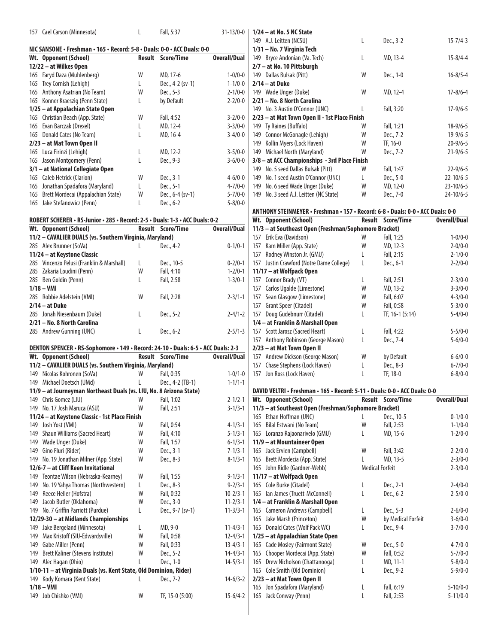| 157 Cael Carson (Minnesota)                                                        | L | Fall, 5:37               | $31-13/0-0$                    | $1/24 - at I$<br>149 A.J. Le |
|------------------------------------------------------------------------------------|---|--------------------------|--------------------------------|------------------------------|
| NIC SANSONE • Freshman • 165 • Record: 5-8 • Duals: 0-0 • ACC Duals: 0-0           |   |                          |                                | $1/31 - No.$                 |
| Wt. Opponent (School)                                                              |   | <b>Result Score/Time</b> | Overall/Dual                   | 149 Bryce                    |
| 12/22 - at Wilkes Open                                                             |   |                          |                                | $2/7 - at$ No                |
| 165 Faryd Daza (Muhlenberg)                                                        | W | MD, 17-6                 | $1 - 0/0 - 0$                  | 149 Dallas                   |
| 165 Trey Cornish (Lehigh)                                                          | L | Dec., 4-2 (sv-1)         | $1 - 1/0 - 0$                  | $2/14 - at1$                 |
| 165 Anthony Asatrian (No Team)                                                     | W | Dec., 5-3                | $2 - 1/0 - 0$                  | 149 Wade                     |
| 165 Konner Kraeszig (Penn State)                                                   | L | by Default               | $2 - 2/0 - 0$                  | $2/21 - No.$                 |
| 1/25 - at Appalachian State Open                                                   |   |                          |                                | 149 No. 3                    |
| 165 Christian Beach (App. State)                                                   | W | Fall, 4:52               | $3 - 2/0 - 0$                  | $2/23 - at$                  |
| 165 Evan Barczak (Drexel)                                                          | L | MD, 12-4                 | $3 - 3/0 - 0$                  | 149 Ty Rai                   |
| 165 Donald Cates (No Team)                                                         | L | MD, 16-4                 | $3-4/0-0$                      | 149 Conno                    |
| 2/23 - at Mat Town Open II                                                         |   |                          |                                | 149 Kollin                   |
| 165 Luca Firinzi (Lehigh)                                                          | L | MD, 12-2                 | $3 - 5/0 - 0$                  | 149 Micha                    |
| 165 Jason Montgomery (Penn)                                                        | L | Dec., 9-3                | $3-6/0-0$                      | 3/8 – at A                   |
| 3/1 - at National Collegiate Open                                                  |   |                          |                                | 149 No. 5                    |
| 165 Caleb Hetrick (Clarion)                                                        | W | Dec., 3-1                | $4 - 6/0 - 0$                  | 149 No. 1                    |
| 165 Jonathan Spadafora (Maryland)                                                  | L | Dec., 5-1                | $4 - 7/0 - 0$                  | 149<br>No. 6                 |
| 165 Brett Mordecai (Appalachian State)                                             | W | Dec., 6-4 (sv-1)         | $5 - 7/0 - 0$                  | 149 No. 3                    |
| 165 Jake Stefanowicz (Penn)                                                        | L | Dec., 6-2                | $5 - 8/0 - 0$                  |                              |
|                                                                                    |   |                          |                                | <b>ANTHONY</b>               |
| ROBERT SCHERER · RS-Junior · 285 · Record: 2-5 · Duals: 1-3 · ACC Duals: 0-2       |   | <b>Result Score/Time</b> | <b>Overall/Dual</b>            | Wt. Oppo                     |
| Wt. Opponent (School)                                                              |   |                          |                                | $11/3 - at?$<br>157 Erik E   |
| 11/2 - CAVALIER DUALS (vs. Southern Virginia, Maryland)<br>285 Alex Brunner (SoVa) | L | Dec., 4-2                | $0 - 1/0 - 1$                  | 157 Kam I                    |
| 11/24 - at Keystone Classic                                                        |   |                          |                                | 157<br>Rodne                 |
|                                                                                    | L |                          |                                |                              |
| 285 Vincenzo Pelusi (Franklin & Marshall)<br>285 Zakaria Loudini (Penn)            | W | Dec., 10-5<br>Fall, 4:10 | $0 - 2/0 - 1$<br>$1 - 2/0 - 1$ | 157 Justin<br>$11/17 - at$   |
| 285 Ben Goldin (Penn)                                                              | L | Fall, 2:58               | $1 - 3/0 - 1$                  | 157 Conno                    |
| $1/18 - VMI$                                                                       |   |                          |                                | 157<br>Carlos                |
| 285 Robbie Adelstein (VMI)                                                         | W | Fall, 2:28               | $2 - 3/1 - 1$                  | 157 Sean                     |
| $2/14 - at Duke$                                                                   |   |                          |                                | 157 Grant                    |
| 285 Jonah Niesenbaum (Duke)                                                        | L | Dec., 5-2                | $2 - 4/1 - 2$                  | 157 Doug                     |
| 2/21 - No. 8 North Carolina                                                        |   |                          |                                | $1/4 - at Fr$                |
| 285 Andrew Gunning (UNC)                                                           | L | Dec., 6-2                | $2 - 5/1 - 3$                  | 157 Scott                    |
|                                                                                    |   |                          |                                | 157 Antho                    |
| DENTON SPENCER • RS-Sophomore • 149 • Record: 24-10 • Duals: 6-5 • ACC Duals: 2-3  |   |                          |                                | $2/23 - at l$                |
| Wt. Opponent (School)                                                              |   | <b>Result Score/Time</b> | <b>Overall/Dual</b>            | 157 Andre                    |
| 11/2 - CAVALIER DUALS (vs. Southern Virginia, Maryland)                            |   |                          |                                | 157 Chase                    |
| 149 Nicolas Kohronen (SoVa)                                                        | W | Fall, 0:35               | $1 - 0/1 - 0$                  | 157<br>Jon R                 |
| 149 Michael Doetsch (UMd)                                                          | L | Dec., 4-2 (TB-1)         | $1 - 1/1 - 1$                  |                              |
| 11/9 - at Journeyman Northeast Duals (vs. LIU, No. 8 Arizona State)                |   |                          |                                | <b>DAVID VEL</b>             |
| 149 Chris Gomez (LIU)                                                              | W | Fall, 1:02               | $2 - 1/2 - 1$                  | Wt. Oppo                     |
| 149 No. 17 Josh Maruca (ASU)                                                       | W | Fall, 2:51               | $3 - 1/3 - 1$                  | $11/3 - at?$                 |
| 11/24 - at Keystone Classic - 1st Place Finish                                     |   |                          |                                | 165 Ethan                    |
| 149 Josh Yost (VMI)                                                                | W | Fall, 0:54               | $4 - 1/3 - 1$                  | 165 Bilal E                  |
| 149 Shaun Williams (Sacred Heart)                                                  | W | Fall, 4:10               | $5 - 1/3 - 1$                  | 165 Loran                    |
| 149 Wade Unger (Duke)                                                              | W | Fall, 1:57               | $6 - 1/3 - 1$                  | $11/9 - at l$                |
| 149 Gino Fluri (Rider)                                                             | W | Dec., 3-1                | $7 - 1/3 - 1$                  | 165 Jack E                   |
| 149 No. 19 Jonathan Milner (App. State)                                            | W | Dec., 8-3                | $8 - 1/3 - 1$                  | 165 Brett                    |
| 12/6-7 - at Cliff Keen Invitational                                                |   |                          |                                | 165 John                     |
| 149 Teontae Wilson (Nebraska-Kearney)                                              | W | Fall, 1:55               | $9 - 1/3 - 1$                  | $11/17 - at$                 |
| 149 No. 19 Yahya Thomas (Northwestern)                                             | L | Dec., 8-3                | $9 - 2/3 - 1$                  | 165 Cole E                   |
| Reece Heller (Hofstra)<br>149                                                      | W | Fall, 0:32               | $10 - 2/3 - 1$                 | 165 lan Ja                   |
| Jacob Butler (Oklahoma)<br>149                                                     | W | Dec., 3-0                | $11 - 2/3 - 1$                 | $1/4 - at Fr$                |
| 149 No. 7 Griffin Parriott (Purdue)                                                | L | Dec., 9-7 (sv-1)         | $11 - 3/3 - 1$                 | 165 Came                     |
| 12/29-30 - at Midlands Championships                                               |   |                          |                                | 165 Jake /                   |
| 149 Jake Bergeland (Minnesota)                                                     | L | MD, 9-0                  | $11 - 4/3 - 1$                 | 165 Donal                    |
| 149 Max Kristoff (SIU-Edwardsville)                                                | W | Fall, 0:58               | $12 - 4/3 - 1$                 | $1/25 - at$                  |
| 149 Gabe Miller (Penn)                                                             | W | Fall, 0:33               | $13 - 4/3 - 1$                 | 165 Cade                     |
| 149 Brett Kaliner (Stevens Institute)                                              | W | Dec., 5-2                | $14 - 4/3 - 1$                 | 165 Choop                    |
| 149 Alec Hagan (Ohio)                                                              | L | Dec., 1-0                | $14 - 5/3 - 1$                 | 165 Drew                     |

**1/10-11 – at Virginia Duals (vs. Kent State, Old Dominion, Rider)**

**1/18 – VMI**

Kody Komara (Kent State) L Dec., 7-2 14-6/3-2

Job Chishko (VMI) W TF, 15-0 (5:00) 15-6/4-2

| 1/24 – at No. 5 NC State                      |   |            |                 |
|-----------------------------------------------|---|------------|-----------------|
| 149 A.J. Leitten (NCSU)                       | L | Dec., 3-2  | $15 - 7/4 - 3$  |
| 1/31 – No. 7 Virginia Tech                    |   |            |                 |
| 149 Bryce Andonian (Va. Tech)                 | L | MD, 13-4   | $15 - 8/4 - 4$  |
| 2/7 – at No. 10 Pittsburgh                    |   |            |                 |
| 149 Dallas Bulsak (Pitt)                      | W | Dec., 1-0  | $16 - 8/5 - 4$  |
| 2/14 – at Duke                                |   |            |                 |
| 149 Wade Unger (Duke)                         | W | MD, 12-4   | $17 - 8/6 - 4$  |
| 2/21 – No. 8 North Carolina                   |   |            |                 |
| 149 No. 3 Austin O'Connor (UNC)               | L | Fall, 3:20 | $17-9/6-5$      |
| 2/23 – at Mat Town Open II - 1st Place Finish |   |            |                 |
| 149 Ty Raines (Buffalo)                       | W | Fall, 1:21 | $18-9/6-5$      |
| 149 Connor McGonagle (Lehigh)                 | W | Dec., 7-2  | $19-9/6-5$      |
| 149 Kollin Myers (Lock Haven)                 | W | TF, 16-0   | $20 - 9/6 - 5$  |
| 149 Michael North (Maryland)                  | W | Dec., 7-2  | $21 - 9/6 - 5$  |
| 3/8 - at ACC Championships - 3rd Place Finish |   |            |                 |
| 149 No. 5 seed Dallas Bulsak (Pitt)           | W | Fall, 1:47 | $22 - 9/6 - 5$  |
| 149 No. 1 seed Austin O'Connor (UNC)          | L | Dec., 5-0  | $22 - 10/6 - 5$ |
| 149 No. 6 seed Wade Unger (Duke)              | W | MD, 12-0   | $23 - 10/6 - 5$ |
| 149 No. 3 seed A.J. Leitten (NC State)        | W | Dec., 7-0  | 24-10/6-5       |
|                                               |   |            |                 |

#### **ANTHONY STEINMEYER • Freshman • 157 • Record: 6-8 • Duals: 0-0 • ACC Duals: 0-0**

|     | Wt. Opponent (School)                                 |   | <b>Result</b> Score/Time | <b>Overall/Dual</b> |
|-----|-------------------------------------------------------|---|--------------------------|---------------------|
|     | 11/3 - at Southeast Open (Freshman/Sophomore Bracket) |   |                          |                     |
|     | 157 Erik Eva (Davidson)                               | W | Fall, 1:25               | $1 - 0/0 - 0$       |
| 157 | Kam Miller (App. State)                               | W | MD, 12-3                 | $2 - 0/0 - 0$       |
| 157 | Rodney Winston Jr. (GMU)                              | L | Fall, 2:15               | $2 - 1/0 - 0$       |
|     | 157 Justin Crawford (Notre Dame College)              | L | Dec., 6-1                | $2 - 2/0 - 0$       |
|     | 11/17 – at Wolfpack Open                              |   |                          |                     |
|     | 157 Connor Brady (VT)                                 | L | Fall, 2:51               | $2 - 3/0 - 0$       |
| 157 | Carlos Ugalde (Limestone)                             | W | MD, 13-2                 | $3 - 3/0 - 0$       |
|     | 157 Sean Glasgow (Limestone)                          | W | Fall, 6:07               | $4 - 3/0 - 0$       |
| 157 | Grant Speer (Citadel)                                 | W | Fall, 0:58               | $5 - 3/0 - 0$       |
| 157 | Doug Gudebnurr (Citadel)                              | L | TF, 16-1 (5:14)          | $5 - 4/0 - 0$       |
|     | 1/4 - at Franklin & Marshall Open                     |   |                          |                     |
|     | 157 Scott Jarosz (Sacred Heart)                       | L | Fall, 4:22               | $5 - 5/0 - 0$       |
|     | 157 Anthony Robinson (George Mason)                   |   | Dec., 7-4                | $5 - 6/0 - 0$       |
|     | 2/23 – at Mat Town Open II                            |   |                          |                     |
|     | 157 Andrew Dickson (George Mason)                     | W | by Default               | $6 - 6/0 - 0$       |
|     | 157 Chase Stephens (Lock Haven)                       | L | Dec., 8-3                | $6 - 7/0 - 0$       |
|     | 157 Jon Ross (Lock Haven)                             |   | TF, 18-0                 | $6 - 8/0 - 0$       |

| DAVID VELTRI • Freshman • 165 • Record: 5-11 • Duals: 0-0 • ACC Duals: 0-0 |  |  |  |  |  |  |  |  |
|----------------------------------------------------------------------------|--|--|--|--|--|--|--|--|
|----------------------------------------------------------------------------|--|--|--|--|--|--|--|--|

| Wt. Opponent (School)                                 | <b>Result</b>          | Score/Time         | <b>Overall/Dual</b> |
|-------------------------------------------------------|------------------------|--------------------|---------------------|
| 11/3 - at Southeast Open (Freshman/Sophomore Bracket) |                        |                    |                     |
| 165 Ethan Hoffman (UNC)                               |                        | Dec., 10-5         | $0 - 1/0 - 0$       |
| Bilal Estwani (No Team)<br>165                        | W                      | Fall, 2:53         | $1 - 1/0 - 0$       |
| 165 Loranzo Rajaonarivelo (GMU)                       | L                      | MD, 15-6           | $1 - 2/0 - 0$       |
| 11/9 - at Mountaineer Open                            |                        |                    |                     |
| 165 Jack Ervien (Campbell)                            | W                      | Fall, 3:42         | $2 - 2/0 - 0$       |
| 165 Brett Mordecia (App. State)                       | L                      | MD, 13-5           | $2 - 3/0 - 0$       |
| 165 John Ridle (Gardner-Webb)                         | <b>Medical Forfeit</b> |                    | $2 - 3/0 - 0$       |
| 11/17 - at Wolfpack Open                              |                        |                    |                     |
| 165 Cole Burke (Citadel)                              | L                      | Dec., 2-1          | $2 - 4/0 - 0$       |
| 165 Ian James (Truett-McConnell)                      | L                      | Dec., 6-2          | $2 - 5/0 - 0$       |
| 1/4 – at Franklin & Marshall Open                     |                        |                    |                     |
| 165 Cameron Andrews (Campbell)                        | L                      | Dec., 5-3          | $2 - 6/0 - 0$       |
| 165 Jake Marsh (Princeton)                            | W                      | by Medical Forfeit | $3 - 6/0 - 0$       |
| 165 Donald Cates (Wolf Pack WC)                       | L                      | Dec., 9-4          | $3 - 7/0 - 0$       |
| 1/25 – at Appalachian State Open                      |                        |                    |                     |
| 165 Cade Mosley (Fairmont State)                      | W                      | Dec., 5-0          | $4 - 7/0 - 0$       |
| 165 Chooper Mordecai (App. State)                     | W                      | Fall, 0:52         | $5 - 7/0 - 0$       |
| 165 Drew Nicholson (Chattanooga)                      | L                      | MD, 11-1           | $5 - 8/0 - 0$       |
| 165 Cole Smith (Old Dominion)                         | L                      | Dec., 9-2          | $5 - 9/0 - 0$       |
| 2/23 - at Mat Town Open II                            |                        |                    |                     |
| 165 Jon Spadafora (Maryland)                          | L                      | Fall, 6:19         | $5 - 10/0 - 0$      |
| 165 Jack Conway (Penn)                                | L                      | Fall, 2:53         | $5 - 11/0 - 0$      |